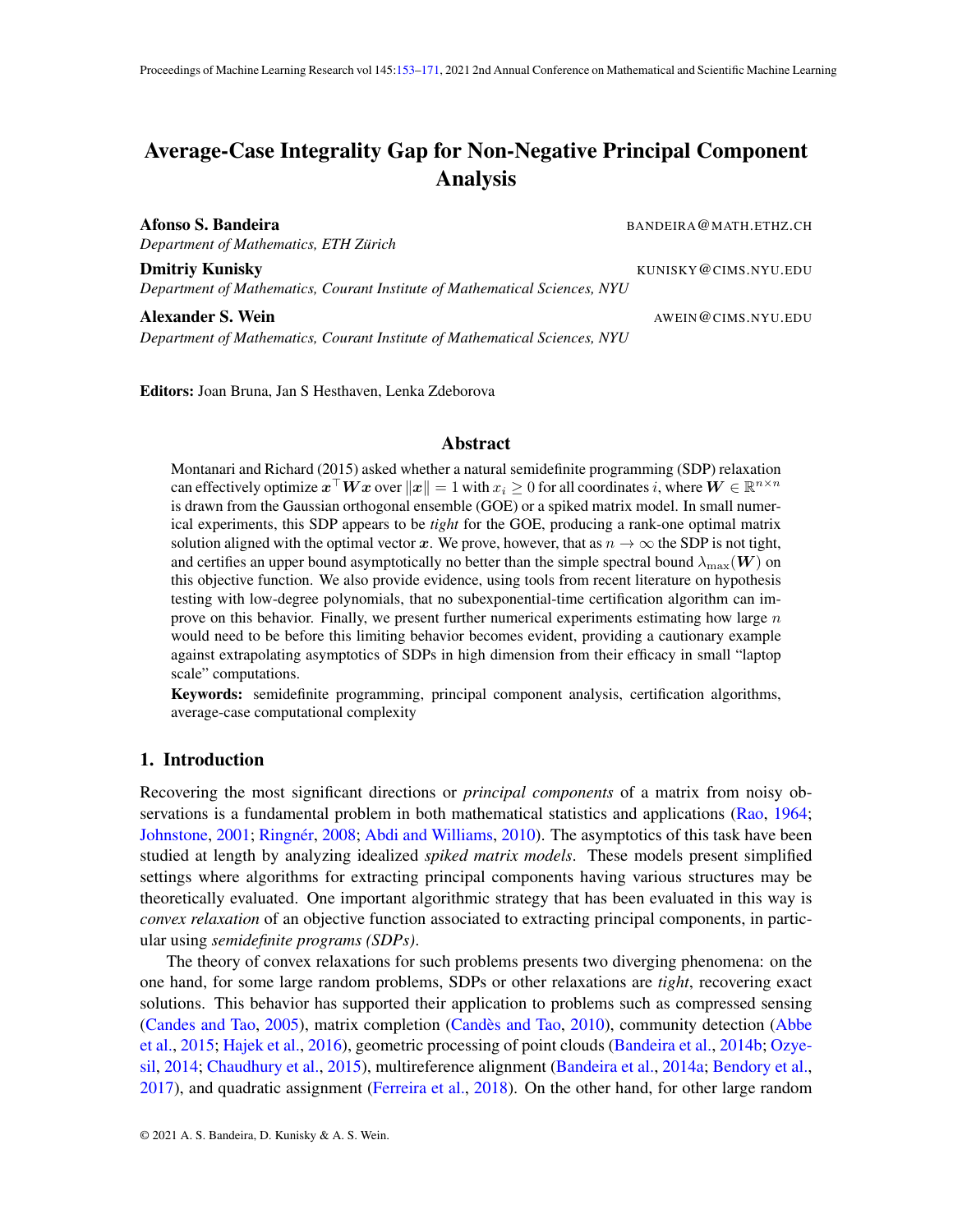# <span id="page-0-0"></span>Average-Case Integrality Gap for Non-Negative Principal Component Analysis

Afonso S. Bandeira **BANDEIRA@MATH.ETHZ.CH** 

*Department of Mathematics, ETH Zurich ¨*

**Dmitriy Kunisky** KUNISKY @CIMS.NYU.EDU

**Alexander S. Wein** AWEIN@CIMS.NYU.EDU *Department of Mathematics, Courant Institute of Mathematical Sciences, NYU*

*Department of Mathematics, Courant Institute of Mathematical Sciences, NYU*

Editors: Joan Bruna, Jan S Hesthaven, Lenka Zdeborova

## Abstract

Montanari and Richard (2015) asked whether a natural semidefinite programming (SDP) relaxation can effectively optimize  $x^\top W x$  over  $\|x\|=1$  with  $x_i\geq 0$  for all coordinates  $i$ , where  $W\in\mathbb{R}^{n\times n}$ is drawn from the Gaussian orthogonal ensemble (GOE) or a spiked matrix model. In small numerical experiments, this SDP appears to be *tight* for the GOE, producing a rank-one optimal matrix solution aligned with the optimal vector x. We prove, however, that as  $n \to \infty$  the SDP is not tight, and certifies an upper bound asymptotically no better than the simple spectral bound  $\lambda_{\text{max}}(\boldsymbol{W})$  on this objective function. We also provide evidence, using tools from recent literature on hypothesis testing with low-degree polynomials, that no subexponential-time certification algorithm can improve on this behavior. Finally, we present further numerical experiments estimating how large  $n$ would need to be before this limiting behavior becomes evident, providing a cautionary example against extrapolating asymptotics of SDPs in high dimension from their efficacy in small "laptop scale" computations.

Keywords: semidefinite programming, principal component analysis, certification algorithms, average-case computational complexity

## 1. Introduction

Recovering the most significant directions or *principal components* of a matrix from noisy observations is a fundamental problem in both mathematical statistics and applications [\(Rao,](#page-18-1) [1964;](#page-18-1) [Johnstone,](#page-17-0) [2001;](#page-17-0) Ringnér, [2008;](#page-18-2) [Abdi and Williams,](#page-15-0) [2010\)](#page-15-0). The asymptotics of this task have been studied at length by analyzing idealized *spiked matrix models*. These models present simplified settings where algorithms for extracting principal components having various structures may be theoretically evaluated. One important algorithmic strategy that has been evaluated in this way is *convex relaxation* of an objective function associated to extracting principal components, in particular using *semidefinite programs (SDPs)*.

The theory of convex relaxations for such problems presents two diverging phenomena: on the one hand, for some large random problems, SDPs or other relaxations are *tight*, recovering exact solutions. This behavior has supported their application to problems such as compressed sensing [\(Candes and Tao,](#page-16-0) [2005\)](#page-16-0), matrix completion (Candès and Tao, [2010\)](#page-16-1), community detection [\(Abbe](#page-15-1) [et al.,](#page-15-1) [2015;](#page-15-1) [Hajek et al.,](#page-16-2) [2016\)](#page-16-2), geometric processing of point clouds [\(Bandeira et al.,](#page-15-2) [2014b;](#page-15-2) [Ozye](#page-18-3)[sil,](#page-18-3) [2014;](#page-18-3) [Chaudhury et al.,](#page-16-3) [2015\)](#page-16-3), multireference alignment [\(Bandeira et al.,](#page-15-3) [2014a;](#page-15-3) [Bendory et al.,](#page-16-4) [2017\)](#page-16-4), and quadratic assignment [\(Ferreira et al.,](#page-16-5) [2018\)](#page-16-5). On the other hand, for other large random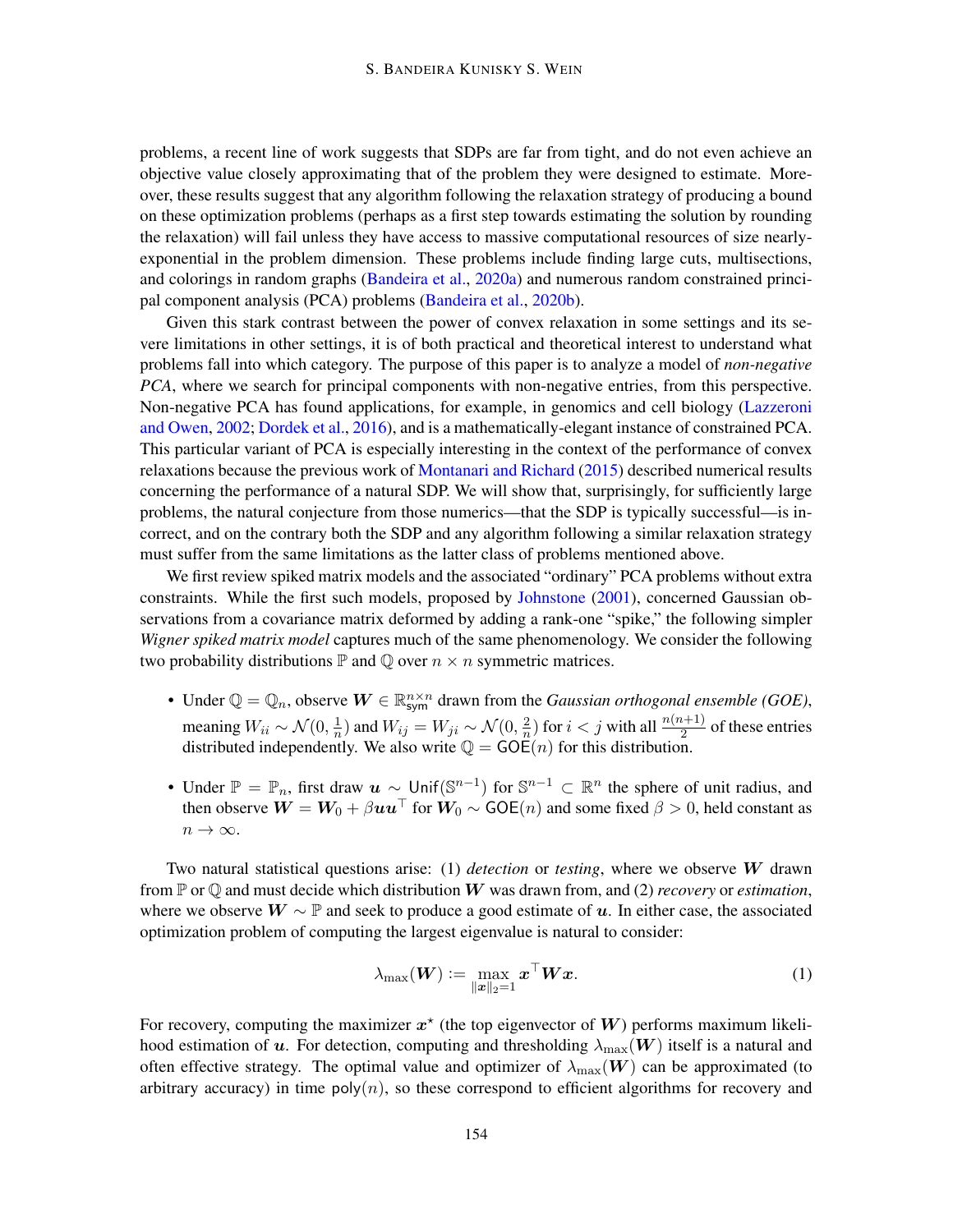problems, a recent line of work suggests that SDPs are far from tight, and do not even achieve an objective value closely approximating that of the problem they were designed to estimate. Moreover, these results suggest that any algorithm following the relaxation strategy of producing a bound on these optimization problems (perhaps as a first step towards estimating the solution by rounding the relaxation) will fail unless they have access to massive computational resources of size nearlyexponential in the problem dimension. These problems include finding large cuts, multisections, and colorings in random graphs [\(Bandeira et al.,](#page-15-4) [2020a\)](#page-15-4) and numerous random constrained principal component analysis (PCA) problems [\(Bandeira et al.,](#page-15-5) [2020b\)](#page-15-5).

Given this stark contrast between the power of convex relaxation in some settings and its severe limitations in other settings, it is of both practical and theoretical interest to understand what problems fall into which category. The purpose of this paper is to analyze a model of *non-negative PCA*, where we search for principal components with non-negative entries, from this perspective. Non-negative PCA has found applications, for example, in genomics and cell biology [\(Lazzeroni](#page-17-1) [and Owen,](#page-17-1) [2002;](#page-17-1) [Dordek et al.,](#page-16-6) [2016\)](#page-16-6), and is a mathematically-elegant instance of constrained PCA. This particular variant of PCA is especially interesting in the context of the performance of convex relaxations because the previous work of [Montanari and Richard](#page-17-2) [\(2015\)](#page-17-2) described numerical results concerning the performance of a natural SDP. We will show that, surprisingly, for sufficiently large problems, the natural conjecture from those numerics—that the SDP is typically successful—is incorrect, and on the contrary both the SDP and any algorithm following a similar relaxation strategy must suffer from the same limitations as the latter class of problems mentioned above.

We first review spiked matrix models and the associated "ordinary" PCA problems without extra constraints. While the first such models, proposed by [Johnstone](#page-17-0) [\(2001\)](#page-17-0), concerned Gaussian observations from a covariance matrix deformed by adding a rank-one "spike," the following simpler *Wigner spiked matrix model* captures much of the same phenomenology. We consider the following two probability distributions  $\mathbb P$  and  $\mathbb O$  over  $n \times n$  symmetric matrices.

- Under  $\mathbb{Q} = \mathbb{Q}_n$ , observe  $\mathbf{W} \in \mathbb{R}^{n \times n}_{sym}$  drawn from the *Gaussian orthogonal ensemble (GOE)*, meaning  $W_{ii} \sim \mathcal{N}(0, \frac{1}{n})$  $\frac{1}{n}$ ) and  $W_{ij} = W_{ji} \sim \mathcal{N}(0, \frac{2}{n})$  $\frac{2}{n}$ ) for  $i < j$  with all  $\frac{n(n+1)}{2}$  of these entries distributed independently. We also write  $\mathbb{Q} = GOE(n)$  for this distribution.
- Under  $\mathbb{P} = \mathbb{P}_n$ , first draw  $u \sim \text{Unif}(\mathbb{S}^{n-1})$  for  $\mathbb{S}^{n-1} \subset \mathbb{R}^n$  the sphere of unit radius, and then observe  $W = W_0 + \beta u u^{\top}$  for  $W_0 \sim GOE(n)$  and some fixed  $\beta > 0$ , held constant as  $n \to \infty$ .

Two natural statistical questions arise: (1) *detection* or *testing*, where we observe W drawn from  $\mathbb P$  or  $\mathbb Q$  and must decide which distribution  $W$  was drawn from, and (2) *recovery* or *estimation*, where we observe  $W \sim \mathbb{P}$  and seek to produce a good estimate of u. In either case, the associated optimization problem of computing the largest eigenvalue is natural to consider:

$$
\lambda_{\max}(\boldsymbol{W}) := \max_{\|\boldsymbol{x}\|_2 = 1} \boldsymbol{x}^\top \boldsymbol{W} \boldsymbol{x}.
$$
 (1)

For recovery, computing the maximizer  $x^*$  (the top eigenvector of W) performs maximum likelihood estimation of u. For detection, computing and thresholding  $\lambda_{\text{max}}(\mathbf{W})$  itself is a natural and often effective strategy. The optimal value and optimizer of  $\lambda_{\text{max}}(W)$  can be approximated (to arbitrary accuracy) in time  $poly(n)$ , so these correspond to efficient algorithms for recovery and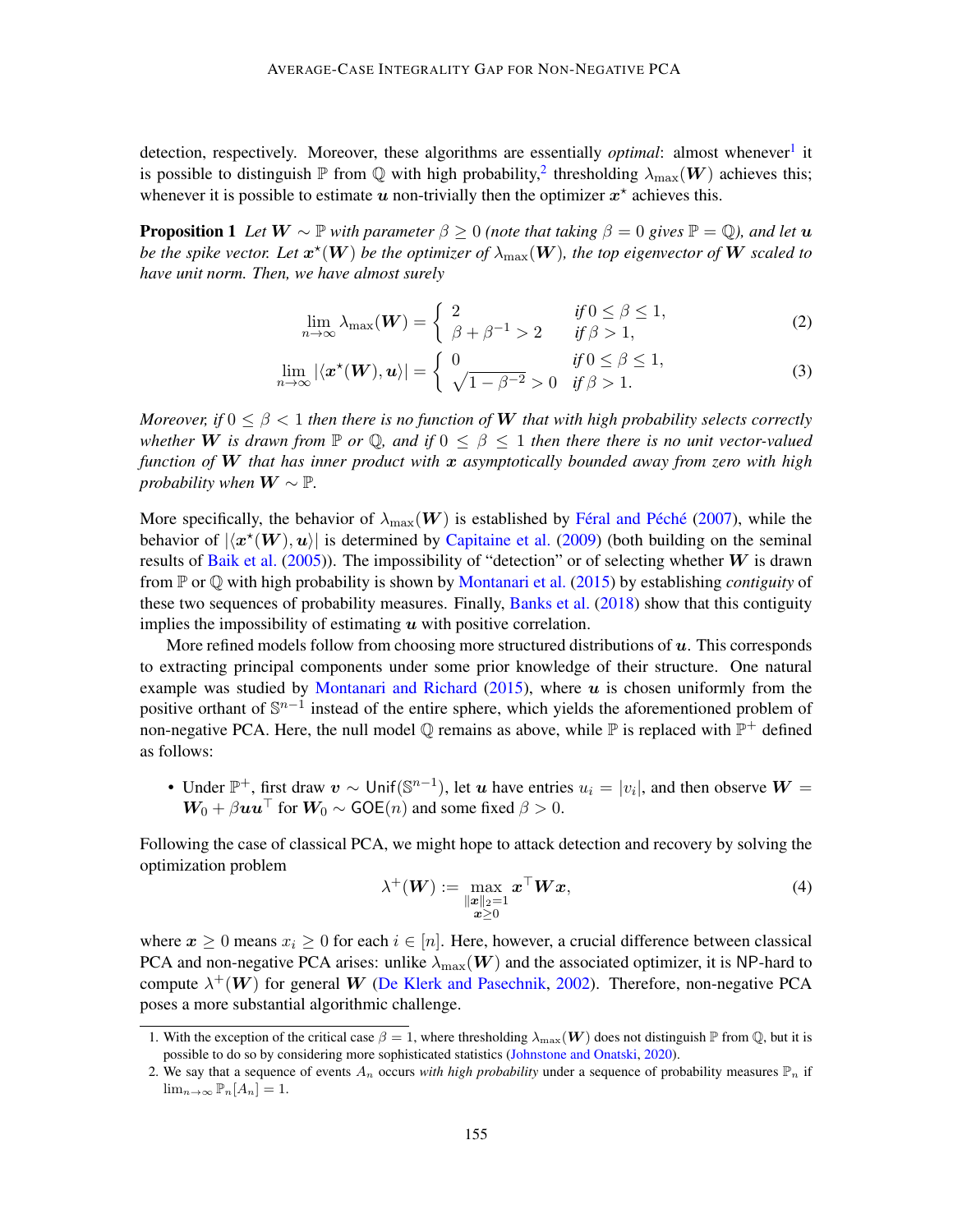detection, respectively. Moreover, these algorithms are essentially *optimal*: almost whenever<sup>[1](#page-2-0)</sup> it is possible to distinguish  $\mathbb P$  from  $\mathbb Q$  with high probability, thresholding  $\lambda_{\max}(\bm W)$  achieves this; whenever it is possible to estimate  $u$  non-trivially then the optimizer  $x^*$  achieves this.

**Proposition 1** Let  $W \sim \mathbb{P}$  with parameter  $\beta \geq 0$  (note that taking  $\beta = 0$  gives  $\mathbb{P} = \mathbb{Q}$ ), and let  $u$ be the spike vector. Let  $x^{\star}(W)$  be the optimizer of  $\lambda_{\max}(W)$ , the top eigenvector of  $W$  scaled to *have unit norm. Then, we have almost surely*

$$
\lim_{n \to \infty} \lambda_{\max}(\boldsymbol{W}) = \begin{cases} 2 & \text{if } 0 \le \beta \le 1, \\ \beta + \beta^{-1} > 2 \end{cases} \tag{2}
$$

$$
\lim_{n \to \infty} |\langle \mathbf{x}^*(\mathbf{W}), \mathbf{u} \rangle| = \begin{cases} 0 & \text{if } 0 \le \beta \le 1, \\ \sqrt{1 - \beta^{-2}} > 0 \quad \text{if } \beta > 1. \end{cases} \tag{3}
$$

*Moreover, if*  $0 \le \beta < 1$  *then there is no function of* W *that with high probability selects correctly whether* W is drawn from  $\mathbb P$  or  $\mathbb Q$ , and if  $0 \leq \beta \leq 1$  then there there is no unit vector-valued *function of* W *that has inner product with* x *asymptotically bounded away from zero with high probability when*  $W \sim \mathbb{P}$ *.* 

More specifically, the behavior of  $\lambda_{\text{max}}(\boldsymbol{W})$  is established by Féral and Péché [\(2007\)](#page-16-7), while the behavior of  $|\langle x^*(W),u\rangle|$  is determined by [Capitaine et al.](#page-16-8) [\(2009\)](#page-16-8) (both building on the seminal results of [Baik et al.](#page-15-6) [\(2005\)](#page-15-6)). The impossibility of "detection" or of selecting whether  $W$  is drawn from P or Q with high probability is shown by [Montanari et al.](#page-17-3) [\(2015\)](#page-17-3) by establishing *contiguity* of these two sequences of probability measures. Finally, [Banks et al.](#page-16-9)  $(2018)$  show that this contiguity implies the impossibility of estimating  $u$  with positive correlation.

More refined models follow from choosing more structured distributions of  $u$ . This corresponds to extracting principal components under some prior knowledge of their structure. One natural example was studied by [Montanari and Richard](#page-17-2) [\(2015\)](#page-17-2), where  $u$  is chosen uniformly from the positive orthant of  $\mathbb{S}^{n-1}$  instead of the entire sphere, which yields the aforementioned problem of non-negative PCA. Here, the null model  $\mathbb Q$  remains as above, while  $\mathbb P$  is replaced with  $\mathbb P^+$  defined as follows:

• Under  $\mathbb{P}^+$ , first draw  $v \sim$  Unif $(\mathbb{S}^{n-1})$ , let  $u$  have entries  $u_i = |v_i|$ , and then observe  $W =$  $W_0 + \beta uu^\top$  for  $W_0 \sim GOE(n)$  and some fixed  $\beta > 0$ .

Following the case of classical PCA, we might hope to attack detection and recovery by solving the optimization problem

$$
\lambda^+(W) := \max_{\substack{\|x\|_2=1\\ \bm{x}\geq 0}} \bm{x}^\top \bm{W} \bm{x},\tag{4}
$$

where  $x \ge 0$  means  $x_i \ge 0$  for each  $i \in [n]$ . Here, however, a crucial difference between classical PCA and non-negative PCA arises: unlike  $\lambda_{\text{max}}(W)$  and the associated optimizer, it is NP-hard to compute  $\lambda^+(W)$  for general W [\(De Klerk and Pasechnik,](#page-16-10) [2002\)](#page-16-10). Therefore, non-negative PCA poses a more substantial algorithmic challenge.

<span id="page-2-0"></span><sup>1.</sup> With the exception of the critical case  $\beta = 1$ , where thresholding  $\lambda_{\text{max}}(\mathbf{W})$  does not distinguish P from Q, but it is possible to do so by considering more sophisticated statistics [\(Johnstone and Onatski,](#page-17-4) [2020\)](#page-17-4).

<span id="page-2-1"></span><sup>2.</sup> We say that a sequence of events  $A_n$  occurs *with high probability* under a sequence of probability measures  $\mathbb{P}_n$  if  $\lim_{n\to\infty} \mathbb{P}_n[A_n] = 1.$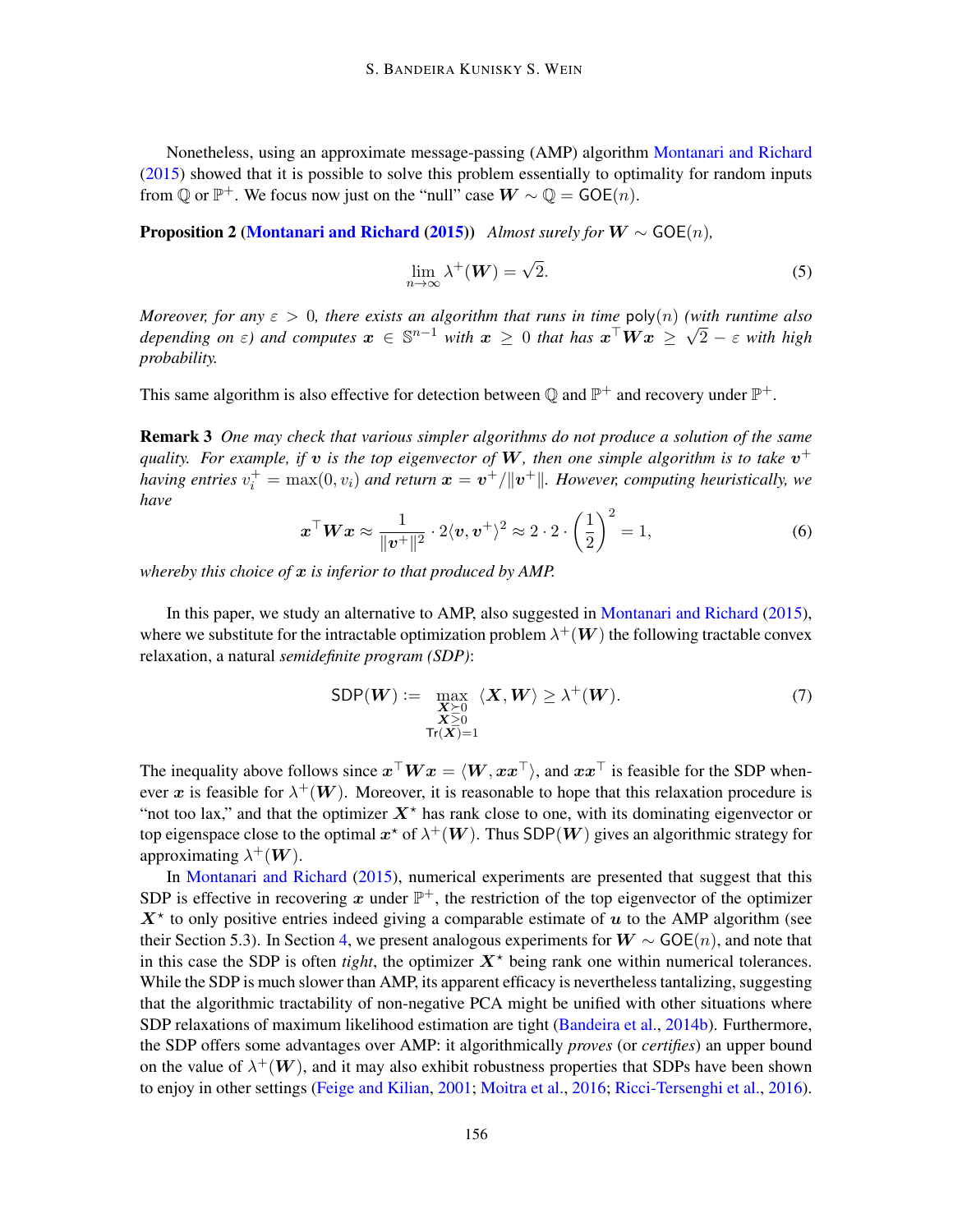Nonetheless, using an approximate message-passing (AMP) algorithm [Montanari and Richard](#page-17-2) [\(2015\)](#page-17-2) showed that it is possible to solve this problem essentially to optimality for random inputs from  $\mathbb{Q}$  or  $\mathbb{P}^+$ . We focus now just on the "null" case  $\mathbf{W} \sim \mathbb{Q} = \mathsf{GOE}(n)$ .

**Proposition 2 [\(Montanari and Richard](#page-17-2) [\(2015\)](#page-17-2))** *Almost surely for*  $W \sim GOE(n)$ ,

$$
\lim_{n \to \infty} \lambda^+(W) = \sqrt{2}.
$$
\n(5)

*Moreover, for any*  $\varepsilon > 0$ *, there exists an algorithm that runs in time*  $poly(n)$  *(with runtime also depending on*  $\varepsilon$ *) and computes*  $x \in \mathbb{S}^{n-1}$  *with*  $x \ge 0$  *that has*  $x^{\top}Wx \ge \sqrt{2} - \varepsilon$  *with high probability.*

This same algorithm is also effective for detection between Q and  $\mathbb{P}^+$  and recovery under  $\mathbb{P}^+$ .

Remark 3 *One may check that various simpler algorithms do not produce a solution of the same* quality. For example, if  $v$  is the top eigenvector of  $W$ , then one simple algorithm is to take  $v^+$ having entries  $v_i^+ = \max(0, v_i)$  and return  $\bm{x} = \bm{v}^+/\|\bm{v}^+\|$ . However, computing heuristically, we *have*

$$
\boldsymbol{x}^{\top}\boldsymbol{W}\boldsymbol{x} \approx \frac{1}{\|\boldsymbol{v}^+\|^2} \cdot 2\langle \boldsymbol{v}, \boldsymbol{v}^+\rangle^2 \approx 2 \cdot 2 \cdot \left(\frac{1}{2}\right)^2 = 1,\tag{6}
$$

*whereby this choice of* x *is inferior to that produced by AMP.*

In this paper, we study an alternative to AMP, also suggested in [Montanari and Richard](#page-17-2) [\(2015\)](#page-17-2), where we substitute for the intractable optimization problem  $\lambda^+(W)$  the following tractable convex relaxation, a natural *semidefinite program (SDP)*:

<span id="page-3-0"></span>
$$
SDP(\boldsymbol{W}) := \max_{\substack{\boldsymbol{X} \geq 0 \\ \boldsymbol{X} \geq 0 \\ \text{Tr}(\boldsymbol{X}) = 1}} \langle \boldsymbol{X}, \boldsymbol{W} \rangle \geq \lambda^+(\boldsymbol{W}). \tag{7}
$$

The inequality above follows since  $x \perp W x = \langle W, x x \perp \rangle$ , and  $x x \perp$  is feasible for the SDP whenever x is feasible for  $\lambda^+(W)$ . Moreover, it is reasonable to hope that this relaxation procedure is "not too lax," and that the optimizer  $X^*$  has rank close to one, with its dominating eigenvector or top eigenspace close to the optimal  $x^*$  of  $\lambda^+(W)$ . Thus SDP( $W$ ) gives an algorithmic strategy for approximating  $\lambda^+(\boldsymbol{W})$ .

In [Montanari and Richard](#page-17-2) [\(2015\)](#page-17-2), numerical experiments are presented that suggest that this SDP is effective in recovering x under  $\mathbb{P}^+$ , the restriction of the top eigenvector of the optimizer  $X^*$  to only positive entries indeed giving a comparable estimate of  $u$  to the AMP algorithm (see their Section 5.3). In Section [4,](#page-10-0) we present analogous experiments for  $W \sim GOE(n)$ , and note that in this case the SDP is often *tight*, the optimizer  $X^*$  being rank one within numerical tolerances. While the SDP is much slower than AMP, its apparent efficacy is nevertheless tantalizing, suggesting that the algorithmic tractability of non-negative PCA might be unified with other situations where SDP relaxations of maximum likelihood estimation are tight [\(Bandeira et al.,](#page-15-2) [2014b\)](#page-15-2). Furthermore, the SDP offers some advantages over AMP: it algorithmically *proves* (or *certifies*) an upper bound on the value of  $\lambda^+(W)$ , and it may also exhibit robustness properties that SDPs have been shown to enjoy in other settings [\(Feige and Kilian,](#page-16-11) [2001;](#page-16-11) [Moitra et al.,](#page-17-5) [2016;](#page-17-5) [Ricci-Tersenghi et al.,](#page-18-4) [2016\)](#page-18-4).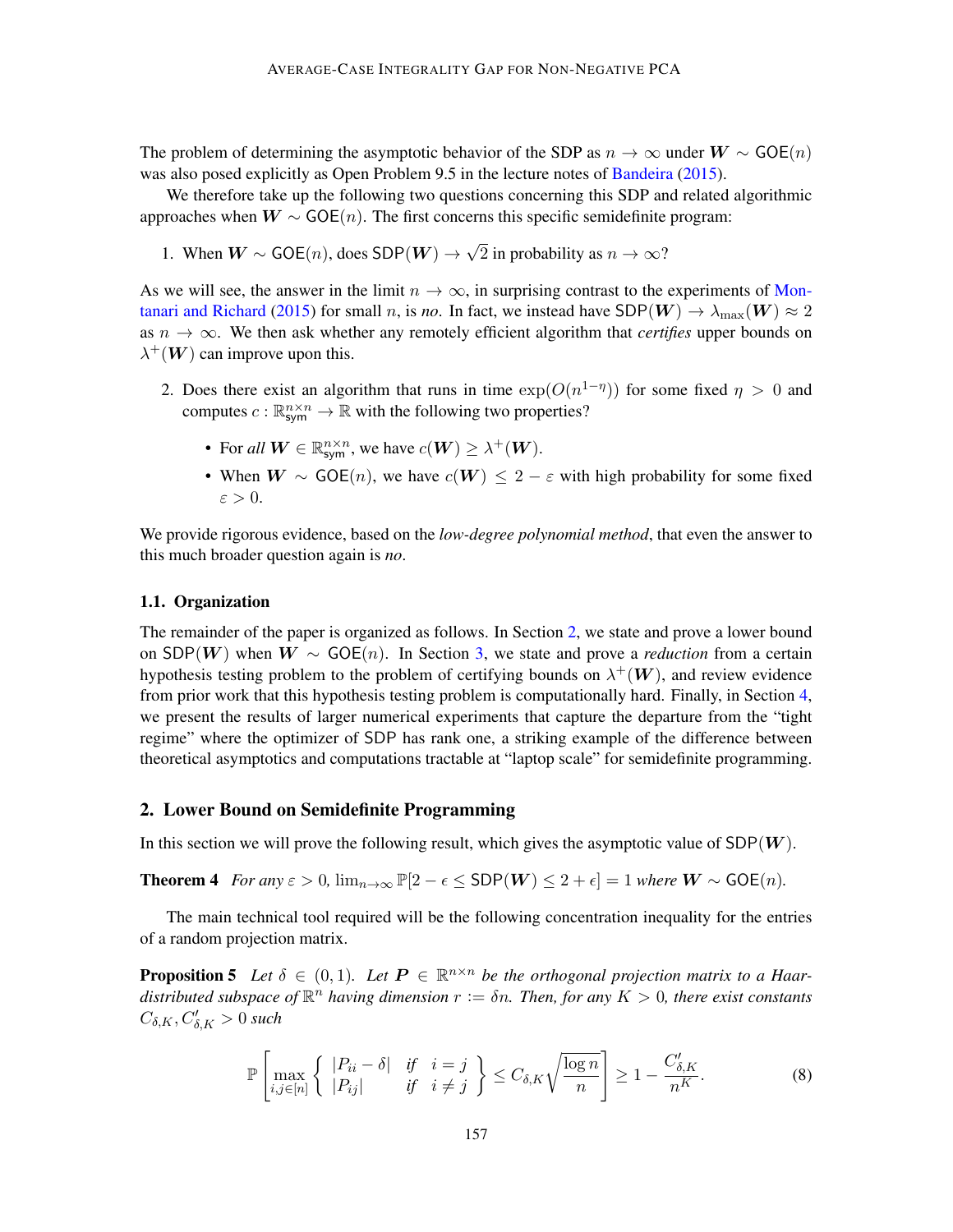The problem of determining the asymptotic behavior of the SDP as  $n \to \infty$  under  $W \sim \text{GOE}(n)$ was also posed explicitly as Open Problem 9.5 in the lecture notes of [Bandeira](#page-15-7) [\(2015\)](#page-15-7).

We therefore take up the following two questions concerning this SDP and related algorithmic approaches when  $W \sim GOE(n)$ . The first concerns this specific semidefinite program:

1. When 
$$
W \sim GOE(n)
$$
, does SDP $(W) \rightarrow \sqrt{2}$  in probability as  $n \rightarrow \infty$ ?

As we will see, the answer in the limit  $n \to \infty$ , in surprising contrast to the experiments of [Mon](#page-17-2)[tanari and Richard](#page-17-2) [\(2015\)](#page-17-2) for small n, is no. In fact, we instead have  $SDP(W) \rightarrow \lambda_{\text{max}}(W) \approx 2$ as  $n \to \infty$ . We then ask whether any remotely efficient algorithm that *certifies* upper bounds on  $\lambda^+(W)$  can improve upon this.

- 2. Does there exist an algorithm that runs in time  $exp(O(n^{1-\eta}))$  for some fixed  $\eta > 0$  and computes  $c : \mathbb{R}^{n \times n}_{sym} \to \mathbb{R}$  with the following two properties?
	- For all  $W \in \mathbb{R}^{n \times n}_{sym}$ , we have  $c(W) \geq \lambda^+(W)$ .
	- When  $W \sim GOE(n)$ , we have  $c(W) \leq 2 \varepsilon$  with high probability for some fixed  $\varepsilon > 0$ .

We provide rigorous evidence, based on the *low-degree polynomial method*, that even the answer to this much broader question again is *no*.

#### 1.1. Organization

The remainder of the paper is organized as follows. In Section [2,](#page-4-0) we state and prove a lower bound on SDP(W) when  $W \sim GOE(n)$ . In Section [3,](#page-6-0) we state and prove a *reduction* from a certain hypothesis testing problem to the problem of certifying bounds on  $\lambda^+(W)$ , and review evidence from prior work that this hypothesis testing problem is computationally hard. Finally, in Section [4,](#page-10-0) we present the results of larger numerical experiments that capture the departure from the "tight regime" where the optimizer of SDP has rank one, a striking example of the difference between theoretical asymptotics and computations tractable at "laptop scale" for semidefinite programming.

#### <span id="page-4-0"></span>2. Lower Bound on Semidefinite Programming

In this section we will prove the following result, which gives the asymptotic value of  $SDP(W)$ .

**Theorem 4** *For any*  $\varepsilon > 0$ ,  $\lim_{n \to \infty} \mathbb{P}[2 - \epsilon \leq SDP(W) \leq 2 + \epsilon] = 1$  *where*  $W \sim GOE(n)$ .

The main technical tool required will be the following concentration inequality for the entries of a random projection matrix.

**Proposition 5** Let  $\delta \in (0,1)$ . Let  $P \in \mathbb{R}^{n \times n}$  be the orthogonal projection matrix to a Haardistributed subspace of  $\mathbb{R}^n$  having dimension  $r := \delta n$ . Then, for any  $K > 0$ , there exist constants  $C_{\delta,K}, C'_{\delta,K} > 0$  such

<span id="page-4-2"></span><span id="page-4-1"></span>
$$
\mathbb{P}\left[\max_{i,j\in[n]}\left\{\begin{array}{cc} |P_{ii}-\delta| & \text{if } i=j\\ |P_{ij}| & \text{if } i\neq j \end{array}\right\}\leq C_{\delta,K}\sqrt{\frac{\log n}{n}}\right]\geq 1-\frac{C'_{\delta,K}}{n^K}.\tag{8}
$$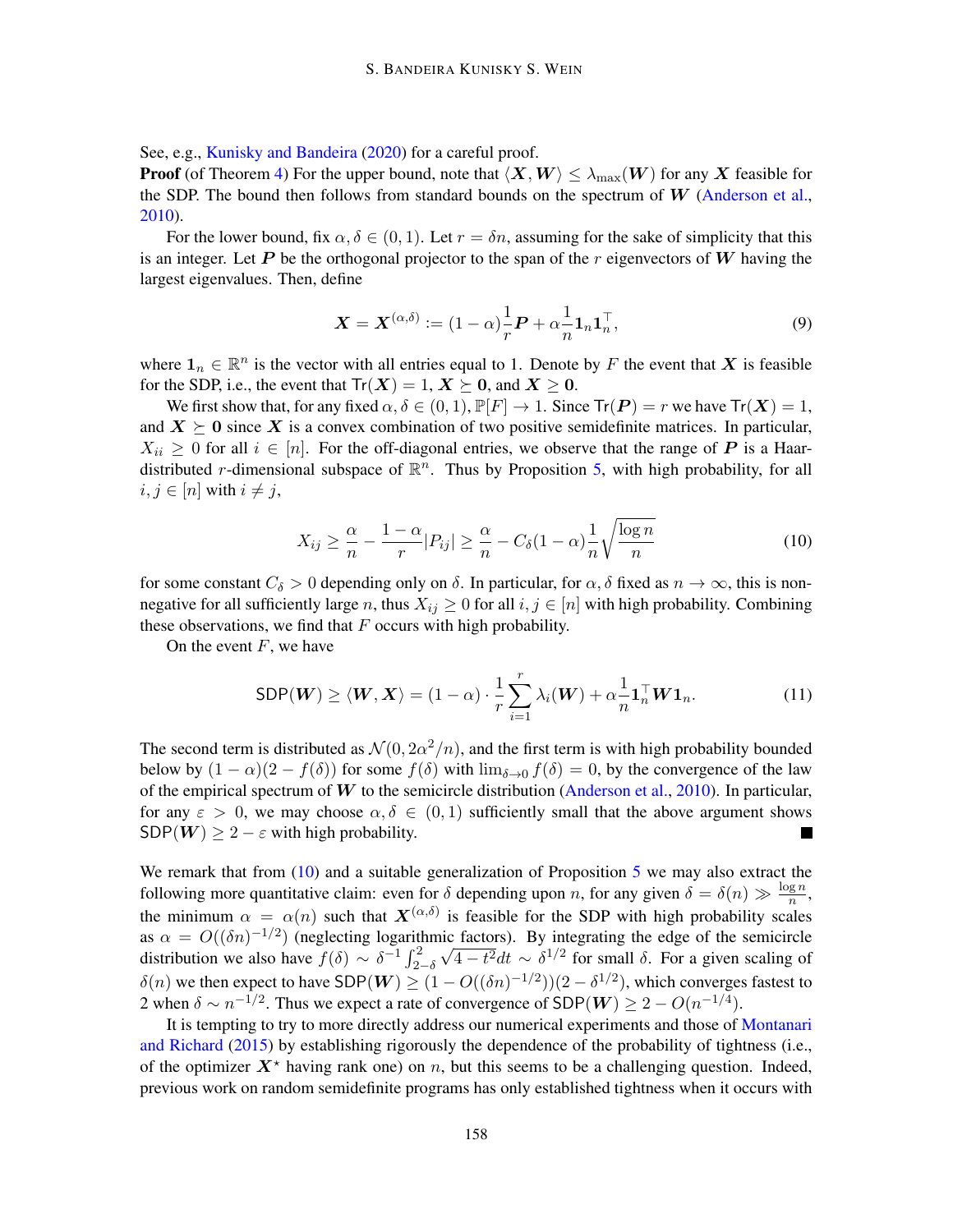See, e.g., [Kunisky and Bandeira](#page-17-6) [\(2020\)](#page-17-6) for a careful proof.

**Proof** (of Theorem [4\)](#page-4-1) For the upper bound, note that  $\langle X, W \rangle \le \lambda_{\max}(W)$  for any X feasible for the SDP. The bound then follows from standard bounds on the spectrum of  $W$  [\(Anderson et al.,](#page-15-8) [2010\)](#page-15-8).

For the lower bound, fix  $\alpha, \delta \in (0, 1)$ . Let  $r = \delta n$ , assuming for the sake of simplicity that this is an integer. Let P be the orthogonal projector to the span of the r eigenvectors of W having the largest eigenvalues. Then, define

$$
\mathbf{X} = \mathbf{X}^{(\alpha,\delta)} := (1-\alpha)\frac{1}{r}\mathbf{P} + \alpha\frac{1}{n}\mathbf{1}_n\mathbf{1}_n^\top,\tag{9}
$$

where  $\mathbf{1}_n \in \mathbb{R}^n$  is the vector with all entries equal to 1. Denote by F the event that X is feasible for the SDP, i.e., the event that  $Tr(X) = 1, X \succeq 0$ , and  $X \geq 0$ .

We first show that, for any fixed  $\alpha, \delta \in (0, 1), \mathbb{P}[F] \to 1$ . Since  $Tr(\mathbf{P}) = r$  we have  $Tr(\mathbf{X}) = 1$ , and  $X \succeq 0$  since X is a convex combination of two positive semidefinite matrices. In particular,  $X_{ii} \geq 0$  for all  $i \in [n]$ . For the off-diagonal entries, we observe that the range of P is a Haardistributed r-dimensional subspace of  $\mathbb{R}^n$ . Thus by Proposition [5,](#page-4-2) with high probability, for all  $i, j \in [n]$  with  $i \neq j$ ,

<span id="page-5-0"></span>
$$
X_{ij} \ge \frac{\alpha}{n} - \frac{1-\alpha}{r} |P_{ij}| \ge \frac{\alpha}{n} - C_{\delta} (1-\alpha) \frac{1}{n} \sqrt{\frac{\log n}{n}} \tag{10}
$$

for some constant  $C_{\delta} > 0$  depending only on  $\delta$ . In particular, for  $\alpha, \delta$  fixed as  $n \to \infty$ , this is nonnegative for all sufficiently large n, thus  $X_{ij} \geq 0$  for all  $i, j \in [n]$  with high probability. Combining these observations, we find that  $F$  occurs with high probability.

On the event  $F$ , we have

$$
\text{SDP}(W) \ge \langle W, X \rangle = (1 - \alpha) \cdot \frac{1}{r} \sum_{i=1}^{r} \lambda_i(W) + \alpha \frac{1}{n} \mathbf{1}_n^\top W \mathbf{1}_n. \tag{11}
$$

The second term is distributed as  $\mathcal{N}(0, 2\alpha^2/n)$ , and the first term is with high probability bounded below by  $(1 - \alpha)(2 - f(\delta))$  for some  $f(\delta)$  with  $\lim_{\delta \to 0} f(\delta) = 0$ , by the convergence of the law of the empirical spectrum of  $W$  to the semicircle distribution [\(Anderson et al.,](#page-15-8) [2010\)](#page-15-8). In particular, for any  $\varepsilon > 0$ , we may choose  $\alpha, \delta \in (0, 1)$  sufficiently small that the above argument shows  $SDP(W) \geq 2 - \varepsilon$  with high probability.

We remark that from  $(10)$  and a suitable generalization of Proposition [5](#page-4-2) we may also extract the following more quantitative claim: even for  $\delta$  depending upon n, for any given  $\delta = \delta(n) \gg \frac{\log n}{n}$ , the minimum  $\alpha = \alpha(n)$  such that  $\mathbf{X}^{(\alpha,\delta)}$  is feasible for the SDP with high probability scales as  $\alpha = O((\delta n)^{-1/2})$  (neglecting logarithmic factors). By integrating the edge of the semicircle distribution we also have  $f(\delta) \sim \delta^{-1} \int_{2-\delta}^{2}$  $\sqrt{4-t^2}dt \sim \delta^{1/2}$  for small  $\delta$ . For a given scaling of  $\delta(n)$  we then expect to have SDP( $W \ge (1 - O((\delta n)^{-1/2}))(2 - \delta^{1/2})$ , which converges fastest to 2 when  $\delta \sim n^{-1/2}$ . Thus we expect a rate of convergence of SDP( $W$ )  $\geq 2 - O(n^{-1/4})$ .

It is tempting to try to more directly address our numerical experiments and those of [Montanari](#page-17-2) [and Richard](#page-17-2) [\(2015\)](#page-17-2) by establishing rigorously the dependence of the probability of tightness (i.e., of the optimizer  $X^*$  having rank one) on n, but this seems to be a challenging question. Indeed, previous work on random semidefinite programs has only established tightness when it occurs with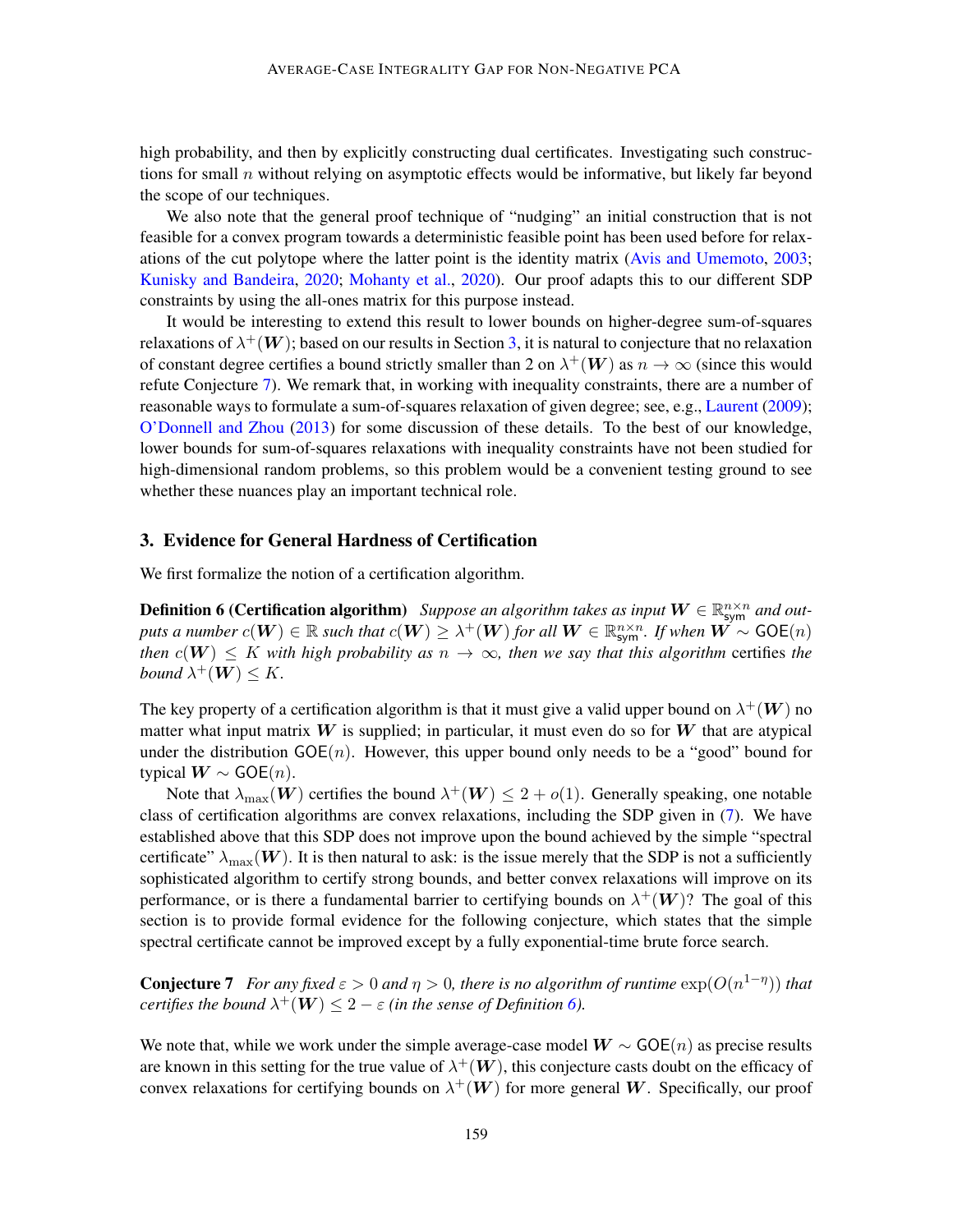high probability, and then by explicitly constructing dual certificates. Investigating such constructions for small  $n$  without relying on asymptotic effects would be informative, but likely far beyond the scope of our techniques.

We also note that the general proof technique of "nudging" an initial construction that is not feasible for a convex program towards a deterministic feasible point has been used before for relaxations of the cut polytope where the latter point is the identity matrix [\(Avis and Umemoto,](#page-15-9) [2003;](#page-15-9) [Kunisky and Bandeira,](#page-17-6) [2020;](#page-17-6) [Mohanty et al.,](#page-17-7) [2020\)](#page-17-7). Our proof adapts this to our different SDP constraints by using the all-ones matrix for this purpose instead.

It would be interesting to extend this result to lower bounds on higher-degree sum-of-squares relaxations of  $\lambda^+(W)$ ; based on our results in Section [3,](#page-6-0) it is natural to conjecture that no relaxation of constant degree certifies a bound strictly smaller than 2 on  $\lambda^+(W)$  as  $n \to \infty$  (since this would refute Conjecture [7\)](#page-6-1). We remark that, in working with inequality constraints, there are a number of reasonable ways to formulate a sum-of-squares relaxation of given degree; see, e.g., [Laurent](#page-17-8) [\(2009\)](#page-17-8); [O'Donnell and Zhou](#page-17-9) [\(2013\)](#page-17-9) for some discussion of these details. To the best of our knowledge, lower bounds for sum-of-squares relaxations with inequality constraints have not been studied for high-dimensional random problems, so this problem would be a convenient testing ground to see whether these nuances play an important technical role.

#### <span id="page-6-0"></span>3. Evidence for General Hardness of Certification

<span id="page-6-2"></span>We first formalize the notion of a certification algorithm.

**Definition 6 (Certification algorithm)** Suppose an algorithm takes as input  $W \in \mathbb{R}^{n \times n}_{\text{sym}}$  and outputs a number  $c(W) \in \mathbb{R}$  such that  $c(W) \geq \lambda^+(W)$  for all  $W \in \mathbb{R}^{n \times n}_{\text{sym}}$ . If when  $W \sim \text{GOE}(n)$ *then*  $c(\mathbf{W}) \leq K$  *with high probability as*  $n \to \infty$ *, then we say that this algorithm certifies the* bound  $\lambda^+(W) \leq K$ .

The key property of a certification algorithm is that it must give a valid upper bound on  $\lambda^+(W)$  no matter what input matrix  $W$  is supplied; in particular, it must even do so for  $W$  that are atypical under the distribution  $GOE(n)$ . However, this upper bound only needs to be a "good" bound for typical  $W \sim GOE(n)$ .

Note that  $\lambda_{\max}(\boldsymbol{W})$  certifies the bound  $\lambda^+(\boldsymbol{W}) \leq 2 + o(1)$ . Generally speaking, one notable class of certification algorithms are convex relaxations, including the SDP given in [\(7\)](#page-3-0). We have established above that this SDP does not improve upon the bound achieved by the simple "spectral certificate"  $\lambda_{\text{max}}(\boldsymbol{W})$ . It is then natural to ask: is the issue merely that the SDP is not a sufficiently sophisticated algorithm to certify strong bounds, and better convex relaxations will improve on its performance, or is there a fundamental barrier to certifying bounds on  $\lambda^+(W)$ ? The goal of this section is to provide formal evidence for the following conjecture, which states that the simple spectral certificate cannot be improved except by a fully exponential-time brute force search.

<span id="page-6-1"></span>**Conjecture 7** For any fixed  $\varepsilon > 0$  and  $\eta > 0$ , there is no algorithm of runtime  $\exp(O(n^{1-\eta}))$  that  $\mathcal{L}_{\mathcal{C}}$  *certifies the bound*  $\lambda^+(\bm{W}) \leq 2 - \varepsilon$  *(in the sense of Definition [6\)](#page-6-2).* 

We note that, while we work under the simple average-case model  $W \sim GOE(n)$  as precise results are known in this setting for the true value of  $\lambda^+(W)$ , this conjecture casts doubt on the efficacy of convex relaxations for certifying bounds on  $\lambda^+(W)$  for more general W. Specifically, our proof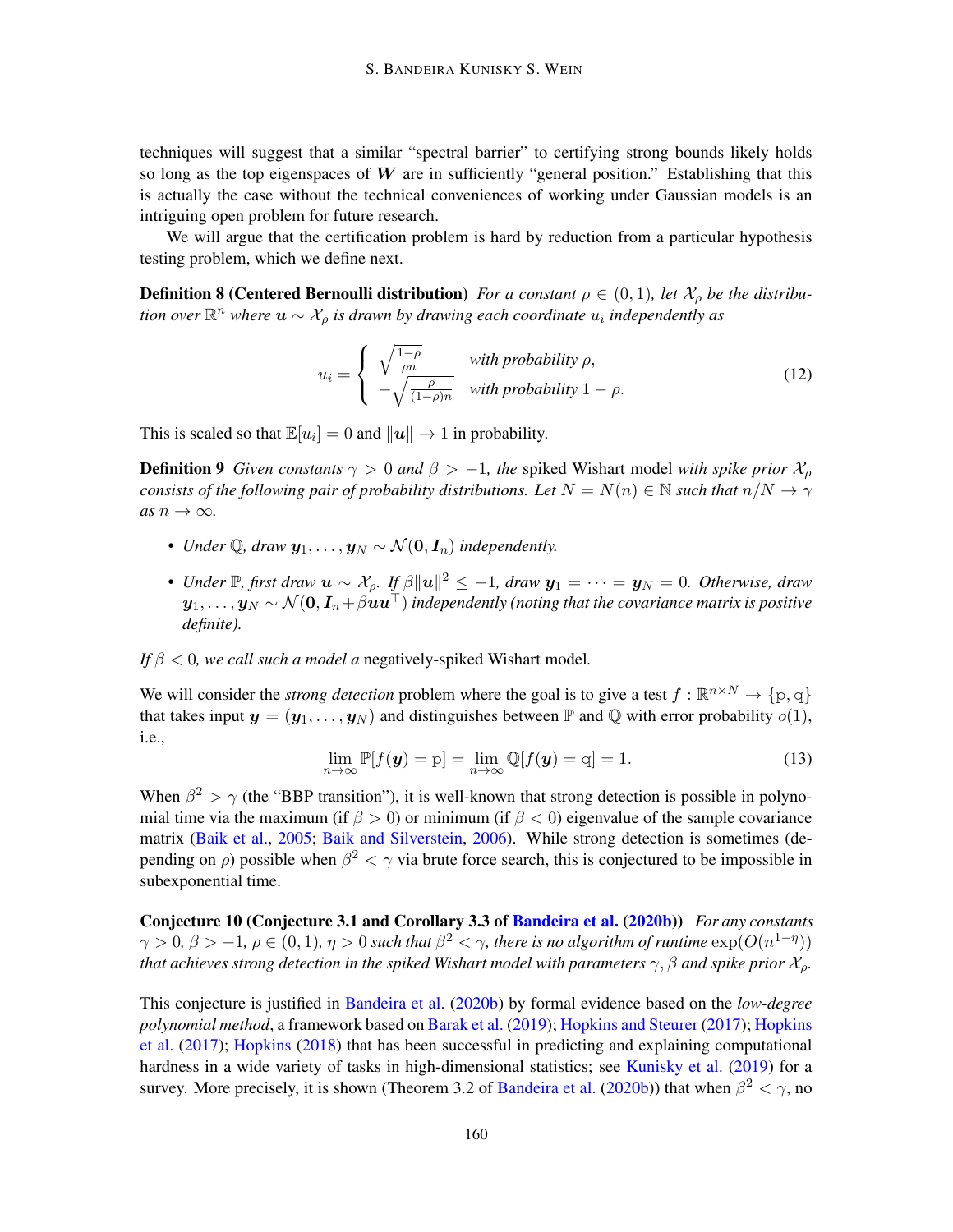techniques will suggest that a similar "spectral barrier" to certifying strong bounds likely holds so long as the top eigenspaces of  $W$  are in sufficiently "general position." Establishing that this is actually the case without the technical conveniences of working under Gaussian models is an intriguing open problem for future research.

We will argue that the certification problem is hard by reduction from a particular hypothesis testing problem, which we define next.

**Definition 8 (Centered Bernoulli distribution)** *For a constant*  $\rho \in (0,1)$ *, let*  $\mathcal{X}_{\rho}$  *be the distribu*tion over  $\mathbb{R}^n$  where  $\bm{u} \sim \mathcal{X}_\rho$  is drawn by drawing each coordinate  $u_i$  independently as

$$
u_i = \begin{cases} \sqrt{\frac{1-\rho}{\rho n}} & \text{with probability } \rho, \\ -\sqrt{\frac{\rho}{(1-\rho)n}} & \text{with probability } 1-\rho. \end{cases}
$$
 (12)

This is scaled so that  $\mathbb{E}[u_i] = 0$  and  $||u|| \to 1$  in probability.

**Definition 9** *Given constants*  $\gamma > 0$  *and*  $\beta > -1$ *, the spiked Wishart model with spike prior*  $\mathcal{X}_{\rho}$ *consists of the following pair of probability distributions. Let*  $N = N(n) \in \mathbb{N}$  *such that*  $n/N \to \gamma$  $as n \rightarrow \infty$ .

- *Under*  $\mathbb{Q}$ *, draw*  $y_1, \ldots, y_N \sim \mathcal{N}(\mathbf{0}, \mathbf{I}_n)$  *independently.*
- *Under* P, first draw  $u \sim \mathcal{X}_{\rho}$ . If  $\beta ||u||^2 \le -1$ , draw  $y_1 = \cdots = y_N = 0$ . Otherwise, draw  $y_1, \ldots, y_N \sim \mathcal{N}(\mathbf{0}, I_n + \beta \mathbf{u} \mathbf{u}^\top)$  *independently (noting that the covariance matrix is positive definite).*

*If* β < 0*, we call such a model a* negatively-spiked Wishart model*.*

We will consider the *strong detection* problem where the goal is to give a test  $f : \mathbb{R}^{n \times N} \to \{p, q\}$ that takes input  $y = (y_1, \ldots, y_N)$  and distinguishes between  $\mathbb P$  and  $\mathbb Q$  with error probability  $o(1)$ , i.e.,

<span id="page-7-1"></span>
$$
\lim_{n \to \infty} \mathbb{P}[f(\mathbf{y}) = p] = \lim_{n \to \infty} \mathbb{Q}[f(\mathbf{y}) = q] = 1.
$$
\n(13)

When  $\beta^2 > \gamma$  (the "BBP transition"), it is well-known that strong detection is possible in polynomial time via the maximum (if  $\beta > 0$ ) or minimum (if  $\beta < 0$ ) eigenvalue of the sample covariance matrix [\(Baik et al.,](#page-15-6) [2005;](#page-15-6) [Baik and Silverstein,](#page-15-10) [2006\)](#page-15-10). While strong detection is sometimes (depending on  $\rho$ ) possible when  $\beta^2 < \gamma$  via brute force search, this is conjectured to be impossible in subexponential time.

<span id="page-7-0"></span>Conjecture 10 (Conjecture 3.1 and Corollary 3.3 of [Bandeira et al.](#page-15-5) [\(2020b\)](#page-15-5)) *For any constants*  $\gamma > 0$ ,  $\beta > -1$ ,  $\rho \in (0,1)$ ,  $\eta > 0$  such that  $\beta^2 < \gamma$ , there is no algorithm of runtime  $\exp(O(n^{1-\eta}))$ *that achieves strong detection in the spiked Wishart model with parameters*  $\gamma$ ,  $\beta$  *and spike prior*  $\mathcal{X}_o$ *.* 

This conjecture is justified in [Bandeira et al.](#page-15-5) [\(2020b\)](#page-15-5) by formal evidence based on the *low-degree polynomial method*, a framework based on [Barak et al.](#page-16-12) [\(2019\)](#page-16-12); [Hopkins and Steurer](#page-17-10) [\(2017\)](#page-17-10); [Hopkins](#page-17-11) [et al.](#page-17-11) [\(2017\)](#page-17-11); [Hopkins](#page-16-13) [\(2018\)](#page-16-13) that has been successful in predicting and explaining computational hardness in a wide variety of tasks in high-dimensional statistics; see [Kunisky et al.](#page-17-12) [\(2019\)](#page-17-12) for a survey. More precisely, it is shown (Theorem 3.2 of [Bandeira et al.](#page-15-5) [\(2020b\)](#page-15-5)) that when  $\beta^2 < \gamma$ , no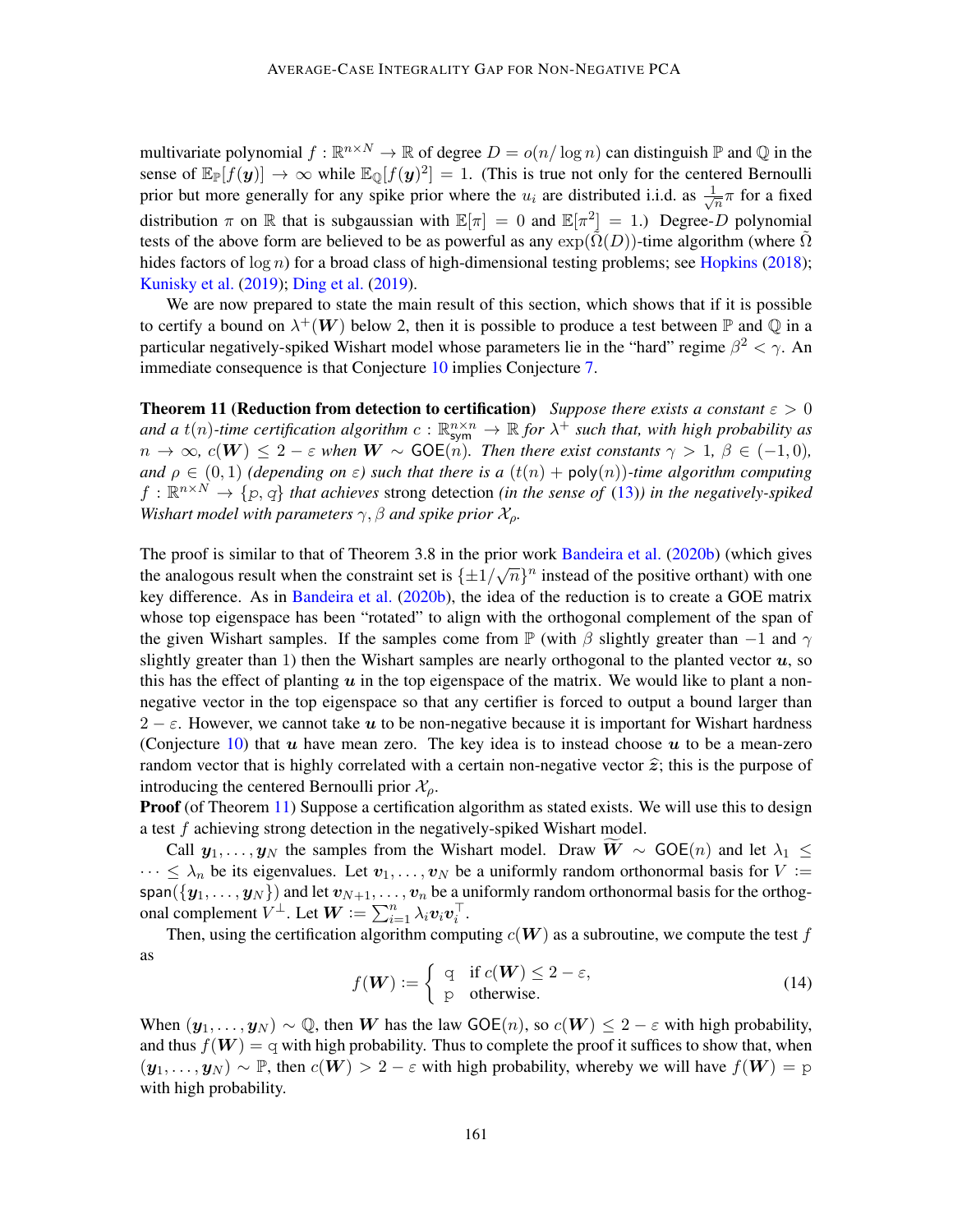multivariate polynomial  $f : \mathbb{R}^{n \times N} \to \mathbb{R}$  of degree  $D = o(n/\log n)$  can distinguish  $\mathbb{P}$  and  $\mathbb{Q}$  in the sense of  $\mathbb{E}_{\mathbb{P}}[f(\mathbf{y})] \to \infty$  while  $\mathbb{E}_{\mathbb{Q}}[f(\mathbf{y})^2] = 1$ . (This is true not only for the centered Bernoulli prior but more generally for any spike prior where the  $u_i$  are distributed i.i.d. as  $\frac{1}{\sqrt{n}}$  $\frac{1}{n}\pi$  for a fixed distribution  $\pi$  on  $\mathbb R$  that is subgaussian with  $\mathbb E[\pi] = 0$  and  $\mathbb E[\pi^2] = 1$ .) Degree-D polynomial tests of the above form are believed to be as powerful as any  $\exp(\Omega(D))$ -time algorithm (where  $\Omega$ hides factors of  $\log n$ ) for a broad class of high-dimensional testing problems; see [Hopkins](#page-16-13) [\(2018\)](#page-16-13); [Kunisky et al.](#page-17-12) [\(2019\)](#page-17-12); [Ding et al.](#page-16-14) [\(2019\)](#page-16-14).

We are now prepared to state the main result of this section, which shows that if it is possible to certify a bound on  $\lambda^+(W)$  below 2, then it is possible to produce a test between  $\mathbb P$  and  $\mathbb Q$  in a particular negatively-spiked Wishart model whose parameters lie in the "hard" regime  $\beta^2 < \gamma$ . An immediate consequence is that Conjecture [10](#page-7-0) implies Conjecture [7.](#page-6-1)

<span id="page-8-0"></span>**Theorem 11 (Reduction from detection to certification)** *Suppose there exists a constant*  $\varepsilon > 0$ and a  $t(n)$ -time certification algorithm  $c: \mathbb{R}^{n \times n}_{sym} \to \mathbb{R}$  for  $\lambda^+$  such that, with high probability as  $n \to \infty$ ,  $c(W) \leq 2 - \varepsilon$  when  $W \sim GOE(n)$ . Then there exist constants  $\gamma > 1$ ,  $\beta \in (-1, 0)$ , *and*  $\rho \in (0,1)$  *(depending on*  $\varepsilon$ ) *such that there is a*  $(t(n) + \text{poly}(n))$ *-time algorithm computing*  $f: \mathbb{R}^{n \times N} \to \{p, q\}$  that achieves strong detection *(in the sense of [\(13\)](#page-7-1))* in the negatively-spiked *Wishart model with parameters*  $\gamma$ ,  $\beta$  *and spike prior*  $\mathcal{X}_o$ *.* 

The proof is similar to that of Theorem 3.8 in the prior work [Bandeira et al.](#page-15-5) [\(2020b\)](#page-15-5) (which gives the analogous result when the constraint set is  $\{\pm 1/\sqrt{n}\}^n$  instead of the positive orthant) with one key difference. As in [Bandeira et al.](#page-15-5) [\(2020b\)](#page-15-5), the idea of the reduction is to create a GOE matrix whose top eigenspace has been "rotated" to align with the orthogonal complement of the span of the given Wishart samples. If the samples come from  $\mathbb P$  (with  $\beta$  slightly greater than -1 and  $\gamma$ slightly greater than 1) then the Wishart samples are nearly orthogonal to the planted vector  $u$ , so this has the effect of planting  $u$  in the top eigenspace of the matrix. We would like to plant a nonnegative vector in the top eigenspace so that any certifier is forced to output a bound larger than  $2 - \varepsilon$ . However, we cannot take u to be non-negative because it is important for Wishart hardness (Conjecture [10\)](#page-7-0) that  $u$  have mean zero. The key idea is to instead choose  $u$  to be a mean-zero random vector that is highly correlated with a certain non-negative vector  $\hat{z}$ ; this is the purpose of introducing the centered Bernoulli prior  $\mathcal{X}_{\rho}$ .

**Proof** (of Theorem [11\)](#page-8-0) Suppose a certification algorithm as stated exists. We will use this to design a test f achieving strong detection in the negatively-spiked Wishart model.

Call  $y_1, \ldots, y_N$  the samples from the Wishart model. Draw  $\overline{W} \sim GOE(n)$  and let  $\lambda_1 \leq$  $\cdots \leq \lambda_n$  be its eigenvalues. Let  $v_1, \ldots, v_N$  be a uniformly random orthonormal basis for  $V :=$ span $(\{y_1, \ldots, y_N\})$  and let  $v_{N+1}, \ldots, v_n$  be a uniformly random orthonormal basis for the orthogonal complement  $V^{\perp}$ . Let  $W := \sum_{i=1}^{n} \lambda_i v_i v_i^{\top}$ .

Then, using the certification algorithm computing  $c(W)$  as a subroutine, we compute the test f as

$$
f(\mathbf{W}) := \begin{cases} q & \text{if } c(\mathbf{W}) \le 2 - \varepsilon, \\ p & \text{otherwise.} \end{cases}
$$
 (14)

When  $(\mathbf{y}_1, \dots, \mathbf{y}_N) \sim \mathbb{Q}$ , then W has the law GOE $(n)$ , so  $c(\mathbf{W}) \leq 2 - \varepsilon$  with high probability, and thus  $f(\mathbf{W}) = q$  with high probability. Thus to complete the proof it suffices to show that, when  $(y_1, \ldots, y_N) \sim \mathbb{P}$ , then  $c(W) > 2 - \varepsilon$  with high probability, whereby we will have  $f(W) = p$ with high probability.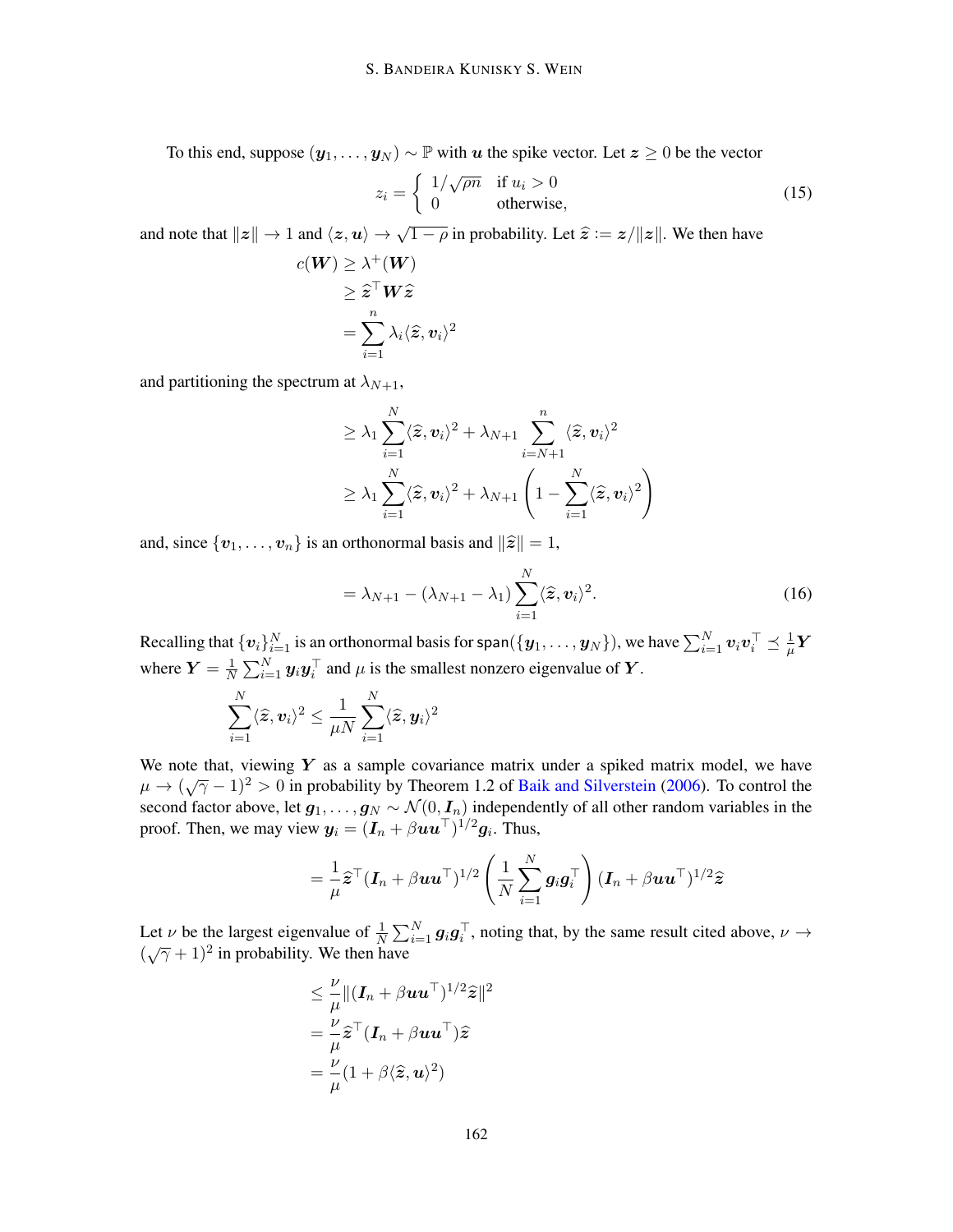To this end, suppose  $(y_1, \ldots, y_N) \sim \mathbb{P}$  with u the spike vector. Let  $z \geq 0$  be the vector

$$
z_i = \begin{cases} 1/\sqrt{\rho n} & \text{if } u_i > 0\\ 0 & \text{otherwise}, \end{cases}
$$
 (15)

and note that  $||z|| \to 1$  and  $\langle z, u \rangle \to \sqrt{1 - \rho}$  in probability. Let  $\hat{z} := z/||z||$ . We then have

$$
c(\boldsymbol{W}) \geq \lambda^+(\boldsymbol{W})
$$
  
\n
$$
\geq \widehat{\boldsymbol{z}}^\top \boldsymbol{W} \widehat{\boldsymbol{z}}
$$
  
\n
$$
= \sum_{i=1}^n \lambda_i \langle \widehat{\boldsymbol{z}}, \boldsymbol{v}_i \rangle^2
$$

and partitioning the spectrum at  $\lambda_{N+1}$ ,

$$
\geq \lambda_1 \sum_{i=1}^N \langle \widehat{\mathbf{z}}, \mathbf{v}_i \rangle^2 + \lambda_{N+1} \sum_{i=N+1}^n \langle \widehat{\mathbf{z}}, \mathbf{v}_i \rangle^2
$$
  

$$
\geq \lambda_1 \sum_{i=1}^N \langle \widehat{\mathbf{z}}, \mathbf{v}_i \rangle^2 + \lambda_{N+1} \left( 1 - \sum_{i=1}^N \langle \widehat{\mathbf{z}}, \mathbf{v}_i \rangle^2 \right)
$$

and, since  $\{v_1, \ldots, v_n\}$  is an orthonormal basis and  $\|\hat{z}\| = 1$ ,

$$
= \lambda_{N+1} - (\lambda_{N+1} - \lambda_1) \sum_{i=1}^{N} \langle \hat{\mathbf{z}}, \mathbf{v}_i \rangle^2.
$$
 (16)

Recalling that  $\{\bm v_i\}_{i=1}^N$  is an orthonormal basis for span $(\{\bm y_1,\dots,\bm y_N\})$ , we have  $\sum_{i=1}^N\bm v_i\bm v_i^\top\preceq \frac{1}{\mu}$  $\frac{1}{\mu}\bm{Y}$ where  $Y = \frac{1}{N}$  $\frac{1}{N} \sum_{i=1}^{N} y_i y_i^{\top}$  and  $\mu$  is the smallest nonzero eigenvalue of  $Y$ .

$$
\sum_{i=1}^N \langle \widehat{\boldsymbol{z}}, \boldsymbol{v}_i \rangle^2 \leq \frac{1}{\mu N} \sum_{i=1}^N \langle \widehat{\boldsymbol{z}}, \boldsymbol{y}_i \rangle^2
$$

We note that, viewing  $Y$  as a sample covariance matrix under a spiked matrix model, we have  $\mu \rightarrow (\sqrt{7}-1)^2 > 0$  in probability by Theorem 1.2 of [Baik and Silverstein](#page-15-10) [\(2006\)](#page-15-10). To control the second factor above, let  $g_1, \ldots, g_N \sim \mathcal{N}(0, I_n)$  independently of all other random variables in the proof. Then, we may view  $y_i = (I_n + \beta \mathbf{u} \mathbf{u}^\top)^{1/2} g_i$ . Thus,

$$
= \frac{1}{\mu} \widehat{\mathbf{z}}^{\top} (\mathbf{I}_n + \beta \mathbf{u} \mathbf{u}^{\top})^{1/2} \left( \frac{1}{N} \sum_{i=1}^N \mathbf{g}_i \mathbf{g}_i^{\top} \right) (\mathbf{I}_n + \beta \mathbf{u} \mathbf{u}^{\top})^{1/2} \widehat{\mathbf{z}}
$$

Let  $\nu$  be the largest eigenvalue of  $\frac{1}{N} \sum_{i=1}^{N} g_i g_i^{\top}$ , noting that, by the same result cited above,  $\nu \to$  $(\sqrt{\gamma}+1)^2$  in probability. We then have

$$
\leq \frac{\nu}{\mu} \| (\bm{I}_n + \beta \bm{u}\bm{u}^\top)^{1/2} \widehat{\bm{z}} \|^2
$$
  
= 
$$
\frac{\nu}{\mu} \widehat{\bm{z}}^\top (\bm{I}_n + \beta \bm{u}\bm{u}^\top) \widehat{\bm{z}}
$$
  
= 
$$
\frac{\nu}{\mu} (1 + \beta \langle \widehat{\bm{z}}, \bm{u} \rangle^2)
$$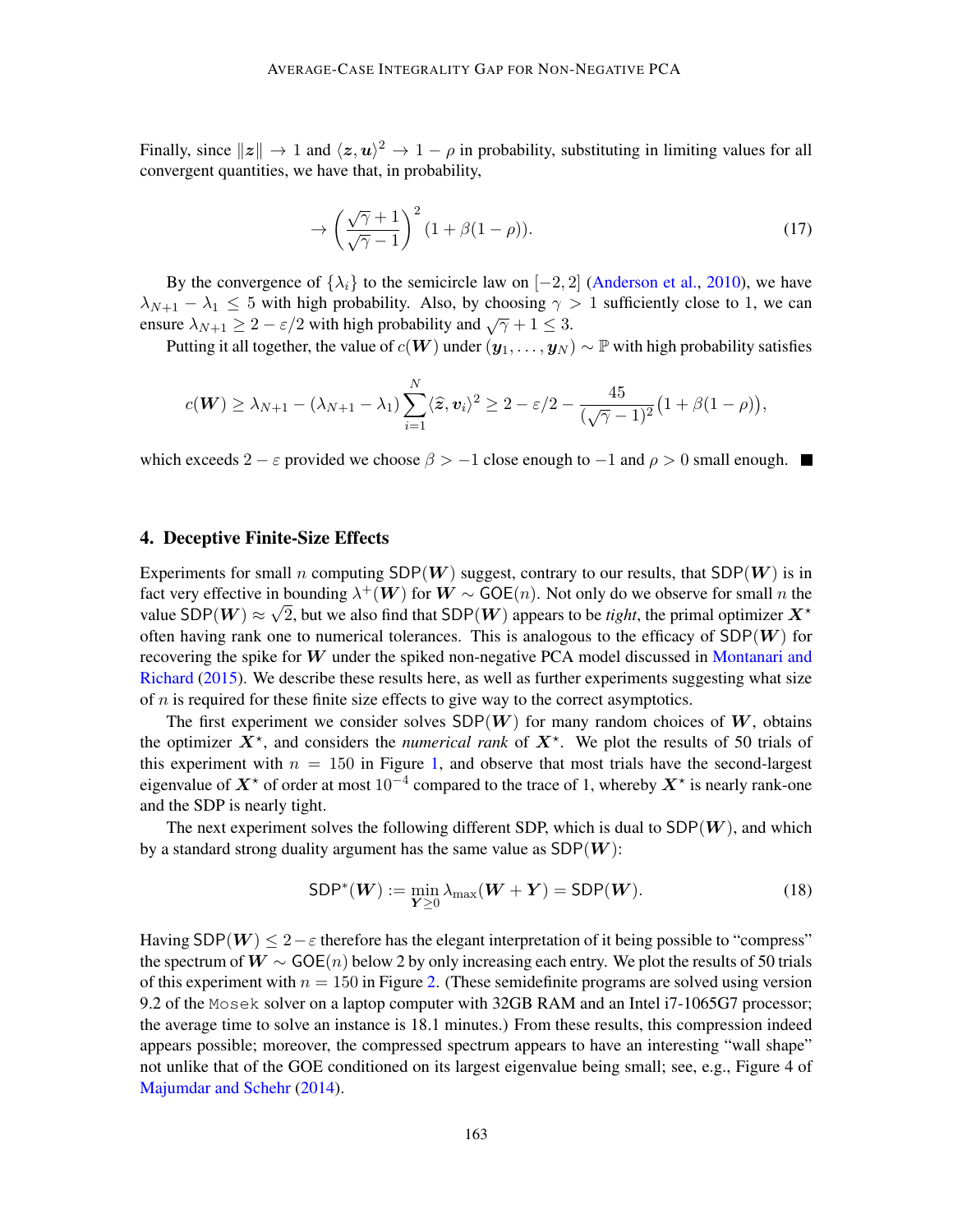Finally, since  $||z|| \to 1$  and  $\langle z, u \rangle^2 \to 1 - \rho$  in probability, substituting in limiting values for all convergent quantities, we have that, in probability,

$$
\rightarrow \left(\frac{\sqrt{\gamma}+1}{\sqrt{\gamma}-1}\right)^2 (1+\beta(1-\rho)).\tag{17}
$$

By the convergence of  $\{\lambda_i\}$  to the semicircle law on  $[-2, 2]$  [\(Anderson et al.,](#page-15-8) [2010\)](#page-15-8), we have  $\lambda_{N+1} - \lambda_1 \leq 5$  with high probability. Also, by choosing  $\gamma > 1$  sufficiently close to 1, we can ensure  $\lambda_{N+1} \geq 2 - \varepsilon/2$  with high probability and  $\sqrt{\gamma} + 1 \leq 3$ .

Putting it all together, the value of  $c(W)$  under  $(y_1, \ldots, y_N) \sim \mathbb{P}$  with high probability satisfies

$$
c(\boldsymbol{W}) \geq \lambda_{N+1} - (\lambda_{N+1} - \lambda_1) \sum_{i=1}^N \langle \widehat{\boldsymbol{z}}, \boldsymbol{v}_i \rangle^2 \geq 2 - \varepsilon/2 - \frac{45}{(\sqrt{\gamma} - 1)^2} \big( 1 + \beta (1 - \rho) \big),
$$

which exceeds 2 −  $\varepsilon$  provided we choose  $\beta > -1$  close enough to  $-1$  and  $\rho > 0$  small enough. ■

## <span id="page-10-0"></span>4. Deceptive Finite-Size Effects

Experiments for small n computing  $SDP(W)$  suggest, contrary to our results, that  $SDP(W)$  is in fact very effective in bounding  $\lambda^+(W)$  for  $W \sim GOE(n)$ . Not only do we observe for small n the value SDP $(W) \approx \sqrt{2}$ , but we also find that SDP $(W)$  appears to be *tight*, the primal optimizer  $X^*$ often having rank one to numerical tolerances. This is analogous to the efficacy of  $SDP(W)$  for recovering the spike for W under the spiked non-negative PCA model discussed in [Montanari and](#page-17-2) [Richard](#page-17-2) [\(2015\)](#page-17-2). We describe these results here, as well as further experiments suggesting what size of  $n$  is required for these finite size effects to give way to the correct asymptotics.

The first experiment we consider solves  $SDP(W)$  for many random choices of W, obtains the optimizer  $X^*$ , and considers the *numerical rank* of  $X^*$ . We plot the results of 50 trials of this experiment with  $n = 150$  in Figure [1,](#page-12-0) and observe that most trials have the second-largest eigenvalue of  $X^*$  of order at most  $10^{-4}$  compared to the trace of 1, whereby  $X^*$  is nearly rank-one and the SDP is nearly tight.

The next experiment solves the following different SDP, which is dual to  $SDP(W)$ , and which by a standard strong duality argument has the same value as  $SDP(W)$ :

$$
SDP^*(W) := \min_{\mathbf{Y} \ge 0} \lambda_{\max}(\mathbf{W} + \mathbf{Y}) = SDP(\mathbf{W}).
$$
 (18)

Having SDP( $W$ )  $\leq 2-\varepsilon$  therefore has the elegant interpretation of it being possible to "compress" the spectrum of  $W \sim GOE(n)$  below 2 by only increasing each entry. We plot the results of 50 trials of this experiment with  $n = 150$  in Figure [2.](#page-13-0) (These semidefinite programs are solved using version 9.2 of the Mosek solver on a laptop computer with 32GB RAM and an Intel i7-1065G7 processor; the average time to solve an instance is 18.1 minutes.) From these results, this compression indeed appears possible; moreover, the compressed spectrum appears to have an interesting "wall shape" not unlike that of the GOE conditioned on its largest eigenvalue being small; see, e.g., Figure 4 of [Majumdar and Schehr](#page-17-13) [\(2014\)](#page-17-13).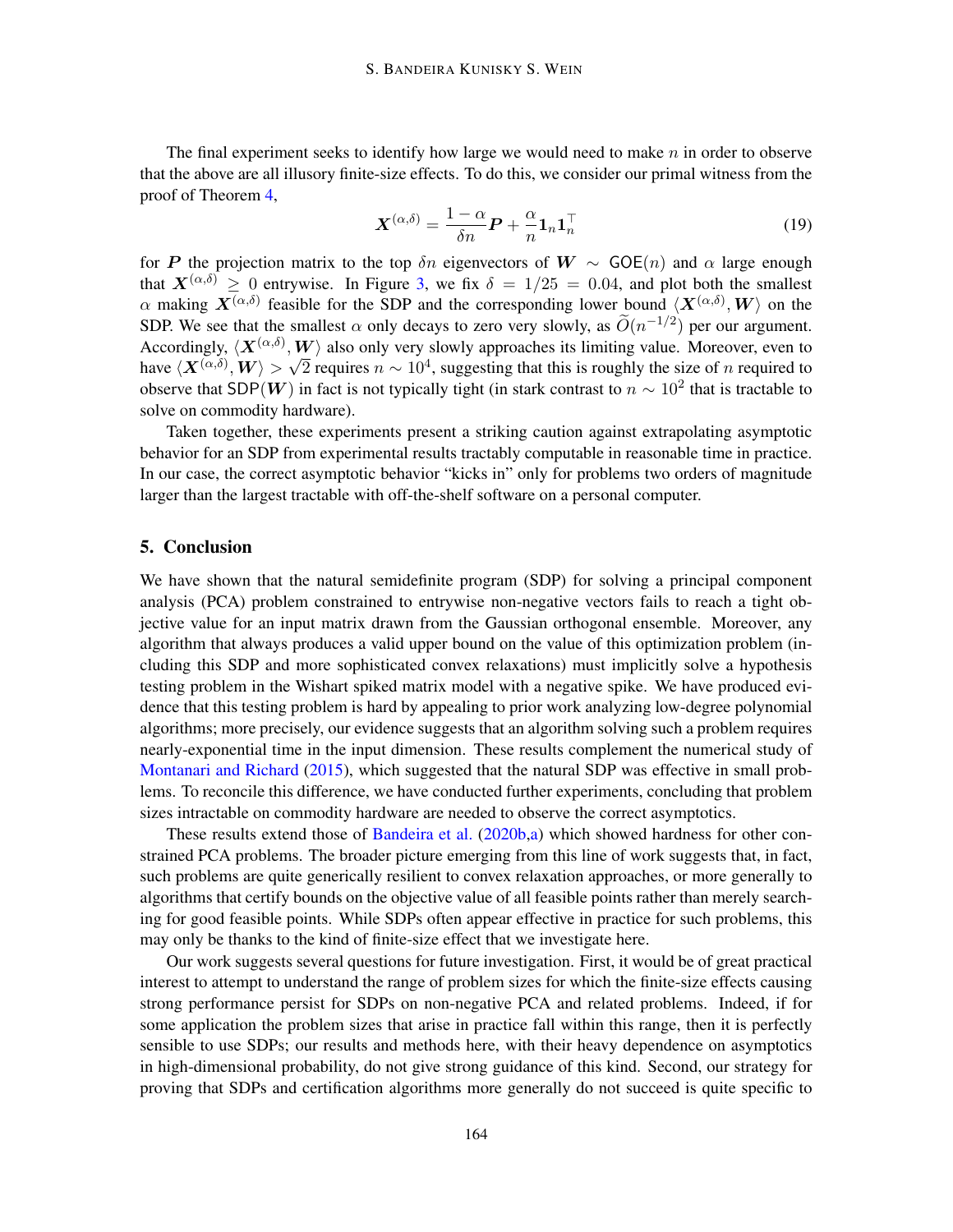The final experiment seeks to identify how large we would need to make  $n$  in order to observe that the above are all illusory finite-size effects. To do this, we consider our primal witness from the proof of Theorem [4,](#page-4-1)

<span id="page-11-0"></span>
$$
\mathbf{X}^{(\alpha,\delta)} = \frac{1-\alpha}{\delta n}\mathbf{P} + \frac{\alpha}{n}\mathbf{1}_n\mathbf{1}_n^\top
$$
 (19)

for P the projection matrix to the top  $\delta n$  eigenvectors of  $W \sim GOE(n)$  and  $\alpha$  large enough that  $X^{(\alpha,\delta)} > 0$  entrywise. In Figure [3,](#page-14-0) we fix  $\delta = 1/25 = 0.04$ , and plot both the smallest  $\alpha$  making  $X^{(\alpha,\delta)}$  feasible for the SDP and the corresponding lower bound  $\langle X^{(\alpha,\delta)}, W \rangle$  on the SDP. We see that the smallest  $\alpha$  only decays to zero very slowly, as  $\widetilde{O}(n^{-1/2})$  per our argument. Accordingly,  $\langle X^{(\alpha,\delta)}, W \rangle$  also only very slowly approaches its limiting value. Moreover, even to have  $\langle X^{(\alpha,\delta)}, W \rangle > \sqrt{2}$  requires  $n \sim 10^4$ , suggesting that this is roughly the size of n required to observe that SDP(W) in fact is not typically tight (in stark contrast to  $n \sim 10^2$  that is tractable to solve on commodity hardware).

Taken together, these experiments present a striking caution against extrapolating asymptotic behavior for an SDP from experimental results tractably computable in reasonable time in practice. In our case, the correct asymptotic behavior "kicks in" only for problems two orders of magnitude larger than the largest tractable with off-the-shelf software on a personal computer.

## 5. Conclusion

We have shown that the natural semidefinite program (SDP) for solving a principal component analysis (PCA) problem constrained to entrywise non-negative vectors fails to reach a tight objective value for an input matrix drawn from the Gaussian orthogonal ensemble. Moreover, any algorithm that always produces a valid upper bound on the value of this optimization problem (including this SDP and more sophisticated convex relaxations) must implicitly solve a hypothesis testing problem in the Wishart spiked matrix model with a negative spike. We have produced evidence that this testing problem is hard by appealing to prior work analyzing low-degree polynomial algorithms; more precisely, our evidence suggests that an algorithm solving such a problem requires nearly-exponential time in the input dimension. These results complement the numerical study of [Montanari and Richard](#page-17-2) [\(2015\)](#page-17-2), which suggested that the natural SDP was effective in small problems. To reconcile this difference, we have conducted further experiments, concluding that problem sizes intractable on commodity hardware are needed to observe the correct asymptotics.

These results extend those of [Bandeira et al.](#page-15-5) [\(2020b](#page-15-5)[,a\)](#page-15-4) which showed hardness for other constrained PCA problems. The broader picture emerging from this line of work suggests that, in fact, such problems are quite generically resilient to convex relaxation approaches, or more generally to algorithms that certify bounds on the objective value of all feasible points rather than merely searching for good feasible points. While SDPs often appear effective in practice for such problems, this may only be thanks to the kind of finite-size effect that we investigate here.

Our work suggests several questions for future investigation. First, it would be of great practical interest to attempt to understand the range of problem sizes for which the finite-size effects causing strong performance persist for SDPs on non-negative PCA and related problems. Indeed, if for some application the problem sizes that arise in practice fall within this range, then it is perfectly sensible to use SDPs; our results and methods here, with their heavy dependence on asymptotics in high-dimensional probability, do not give strong guidance of this kind. Second, our strategy for proving that SDPs and certification algorithms more generally do not succeed is quite specific to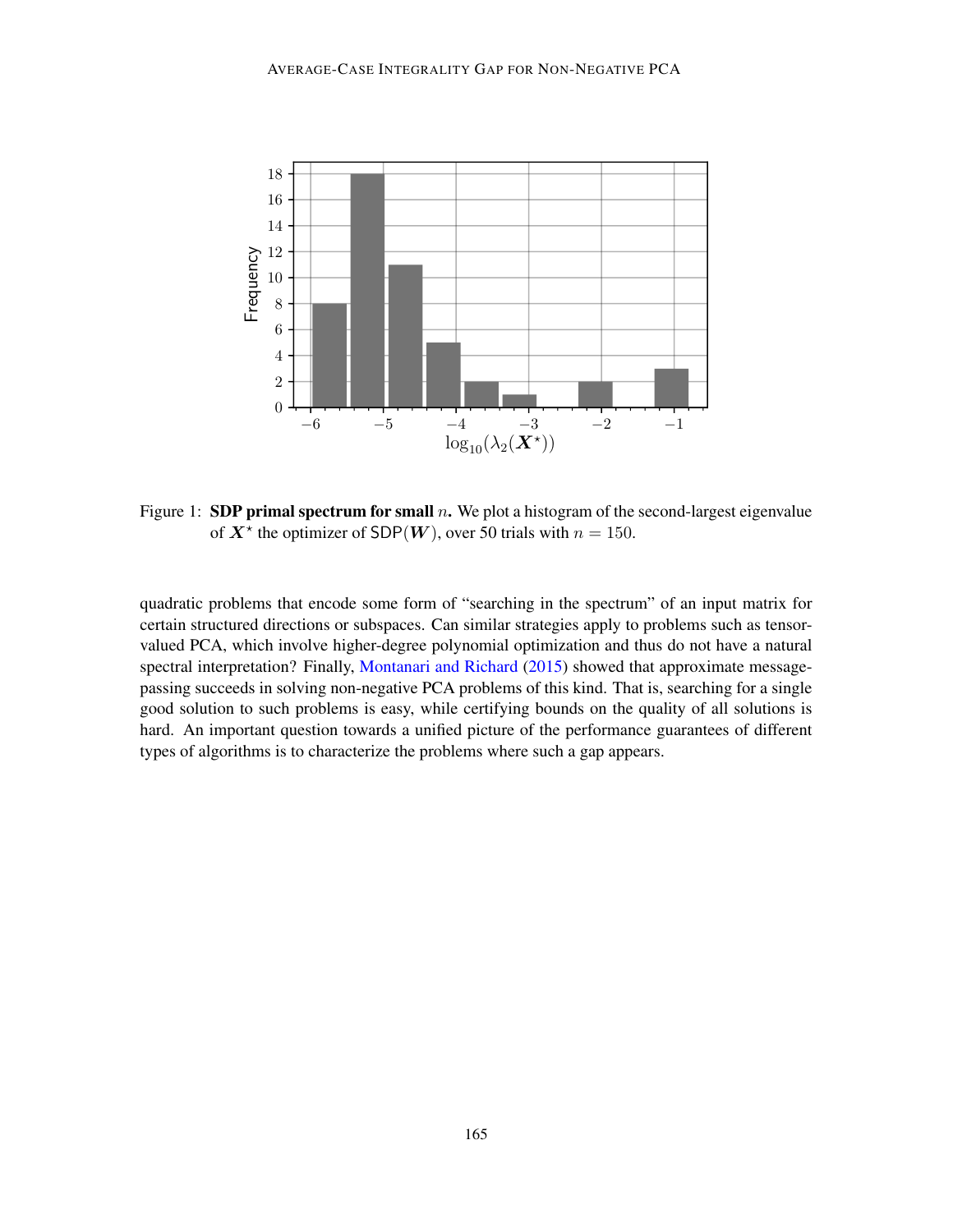

<span id="page-12-0"></span>Figure 1: SDP primal spectrum for small  $n$ . We plot a histogram of the second-largest eigenvalue of  $X^*$  the optimizer of SDP(W), over 50 trials with  $n = 150$ .

quadratic problems that encode some form of "searching in the spectrum" of an input matrix for certain structured directions or subspaces. Can similar strategies apply to problems such as tensorvalued PCA, which involve higher-degree polynomial optimization and thus do not have a natural spectral interpretation? Finally, [Montanari and Richard](#page-17-2) [\(2015\)](#page-17-2) showed that approximate messagepassing succeeds in solving non-negative PCA problems of this kind. That is, searching for a single good solution to such problems is easy, while certifying bounds on the quality of all solutions is hard. An important question towards a unified picture of the performance guarantees of different types of algorithms is to characterize the problems where such a gap appears.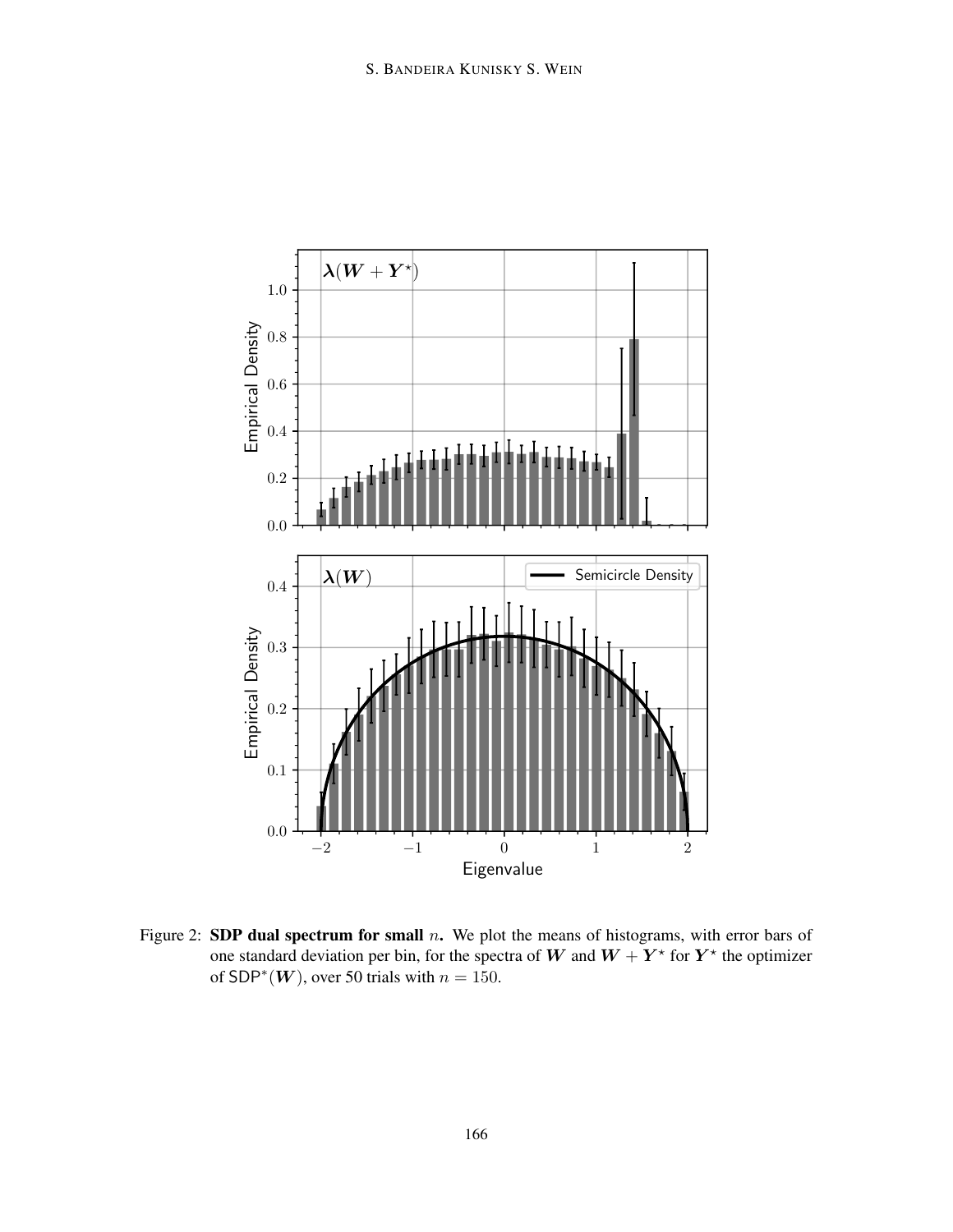

<span id="page-13-0"></span>Figure 2: SDP dual spectrum for small  $n$ . We plot the means of histograms, with error bars of one standard deviation per bin, for the spectra of W and  $W + Y^*$  for  $Y^*$  the optimizer of SDP<sup>\*</sup> $(W)$ , over 50 trials with  $n = 150$ .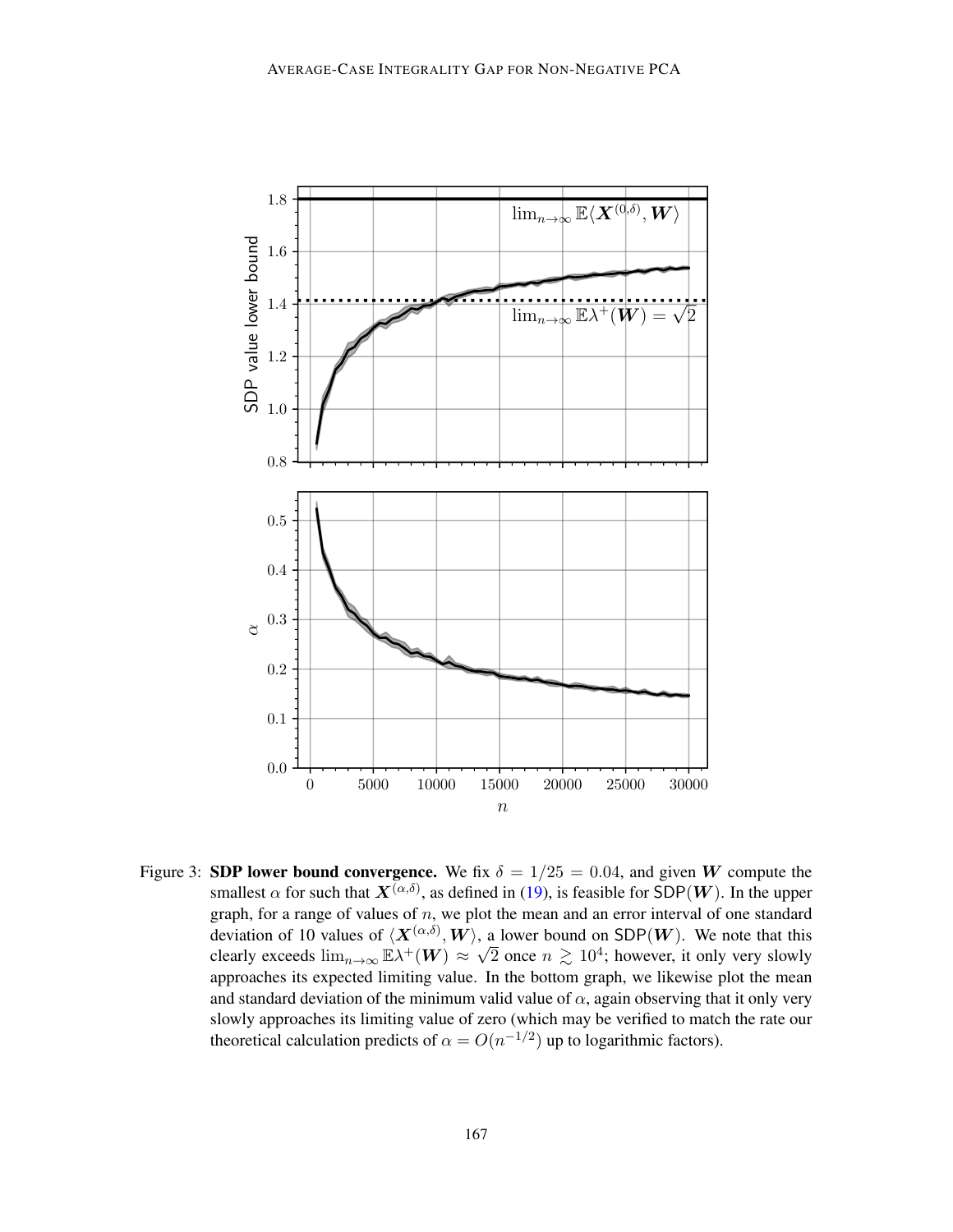

<span id="page-14-0"></span>Figure 3: SDP lower bound convergence. We fix  $\delta = 1/25 = 0.04$ , and given W compute the smallest  $\alpha$  for such that  $\mathbf{X}^{(\alpha,\delta)}$ , as defined in [\(19\)](#page-11-0), is feasible for SDP(W). In the upper graph, for a range of values of  $n$ , we plot the mean and an error interval of one standard deviation of 10 values of  $\langle \mathbf{X}^{(\alpha,\delta)}, \mathbf{W} \rangle$ , a lower bound on SDP(W). We note that this clearly exceeds  $\lim_{n\to\infty} \mathbb{E} \lambda^+(W) \approx \sqrt{2}$  once  $n \geq 10^4$ ; however, it only very slowly approaches its expected limiting value. In the bottom graph, we likewise plot the mean and standard deviation of the minimum valid value of  $\alpha$ , again observing that it only very slowly approaches its limiting value of zero (which may be verified to match the rate our theoretical calculation predicts of  $\alpha = O(n^{-1/2})$  up to logarithmic factors).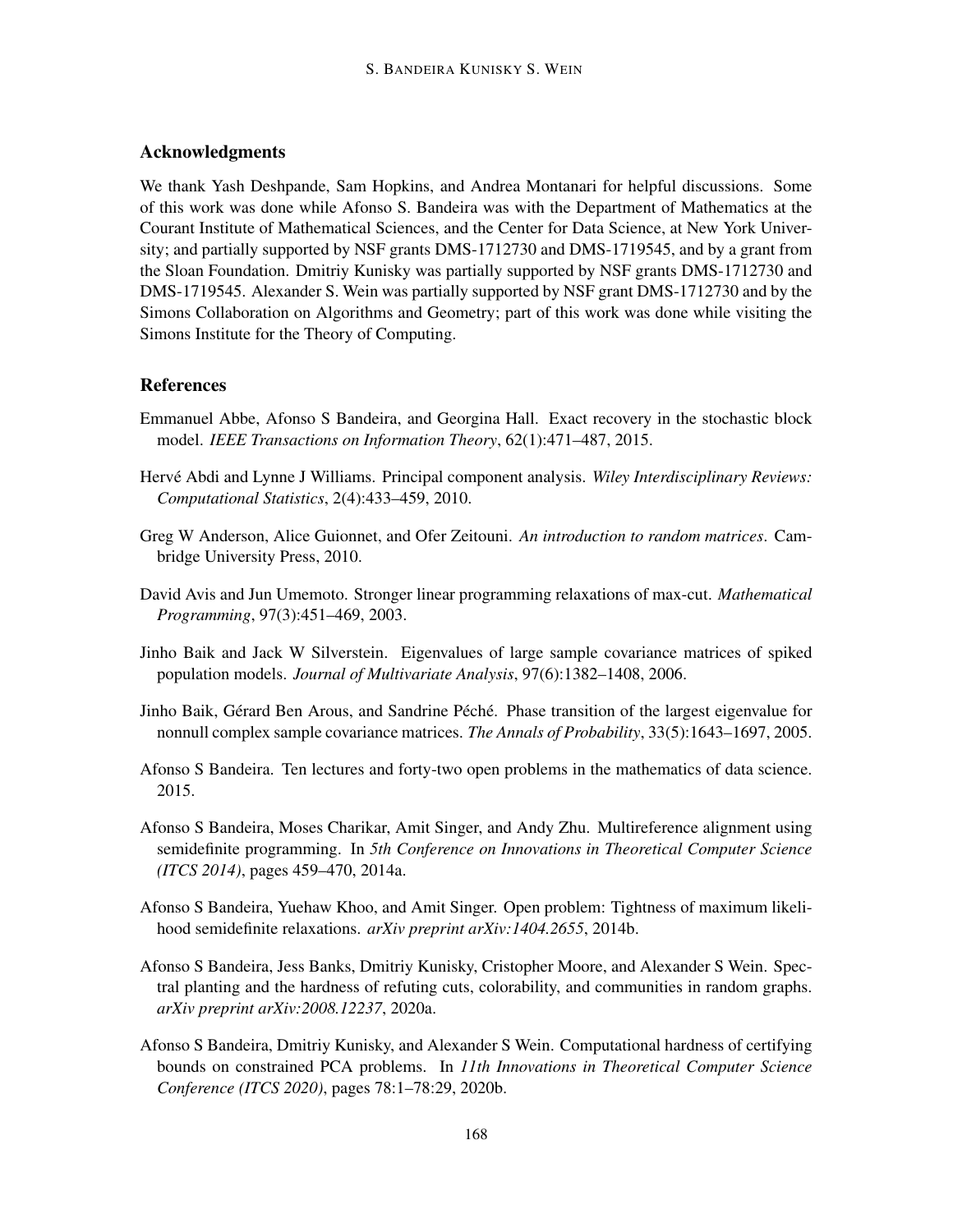## Acknowledgments

We thank Yash Deshpande, Sam Hopkins, and Andrea Montanari for helpful discussions. Some of this work was done while Afonso S. Bandeira was with the Department of Mathematics at the Courant Institute of Mathematical Sciences, and the Center for Data Science, at New York University; and partially supported by NSF grants DMS-1712730 and DMS-1719545, and by a grant from the Sloan Foundation. Dmitriy Kunisky was partially supported by NSF grants DMS-1712730 and DMS-1719545. Alexander S. Wein was partially supported by NSF grant DMS-1712730 and by the Simons Collaboration on Algorithms and Geometry; part of this work was done while visiting the Simons Institute for the Theory of Computing.

#### References

- <span id="page-15-1"></span>Emmanuel Abbe, Afonso S Bandeira, and Georgina Hall. Exact recovery in the stochastic block model. *IEEE Transactions on Information Theory*, 62(1):471–487, 2015.
- <span id="page-15-0"></span>Hervé Abdi and Lynne J Williams. Principal component analysis. Wiley Interdisciplinary Reviews: *Computational Statistics*, 2(4):433–459, 2010.
- <span id="page-15-8"></span>Greg W Anderson, Alice Guionnet, and Ofer Zeitouni. *An introduction to random matrices*. Cambridge University Press, 2010.
- <span id="page-15-9"></span>David Avis and Jun Umemoto. Stronger linear programming relaxations of max-cut. *Mathematical Programming*, 97(3):451–469, 2003.
- <span id="page-15-10"></span>Jinho Baik and Jack W Silverstein. Eigenvalues of large sample covariance matrices of spiked population models. *Journal of Multivariate Analysis*, 97(6):1382–1408, 2006.
- <span id="page-15-6"></span>Jinho Baik, Gérard Ben Arous, and Sandrine Péché. Phase transition of the largest eigenvalue for nonnull complex sample covariance matrices. *The Annals of Probability*, 33(5):1643–1697, 2005.
- <span id="page-15-7"></span>Afonso S Bandeira. Ten lectures and forty-two open problems in the mathematics of data science. 2015.
- <span id="page-15-3"></span>Afonso S Bandeira, Moses Charikar, Amit Singer, and Andy Zhu. Multireference alignment using semidefinite programming. In *5th Conference on Innovations in Theoretical Computer Science (ITCS 2014)*, pages 459–470, 2014a.
- <span id="page-15-2"></span>Afonso S Bandeira, Yuehaw Khoo, and Amit Singer. Open problem: Tightness of maximum likelihood semidefinite relaxations. *arXiv preprint arXiv:1404.2655*, 2014b.
- <span id="page-15-4"></span>Afonso S Bandeira, Jess Banks, Dmitriy Kunisky, Cristopher Moore, and Alexander S Wein. Spectral planting and the hardness of refuting cuts, colorability, and communities in random graphs. *arXiv preprint arXiv:2008.12237*, 2020a.
- <span id="page-15-5"></span>Afonso S Bandeira, Dmitriy Kunisky, and Alexander S Wein. Computational hardness of certifying bounds on constrained PCA problems. In *11th Innovations in Theoretical Computer Science Conference (ITCS 2020)*, pages 78:1–78:29, 2020b.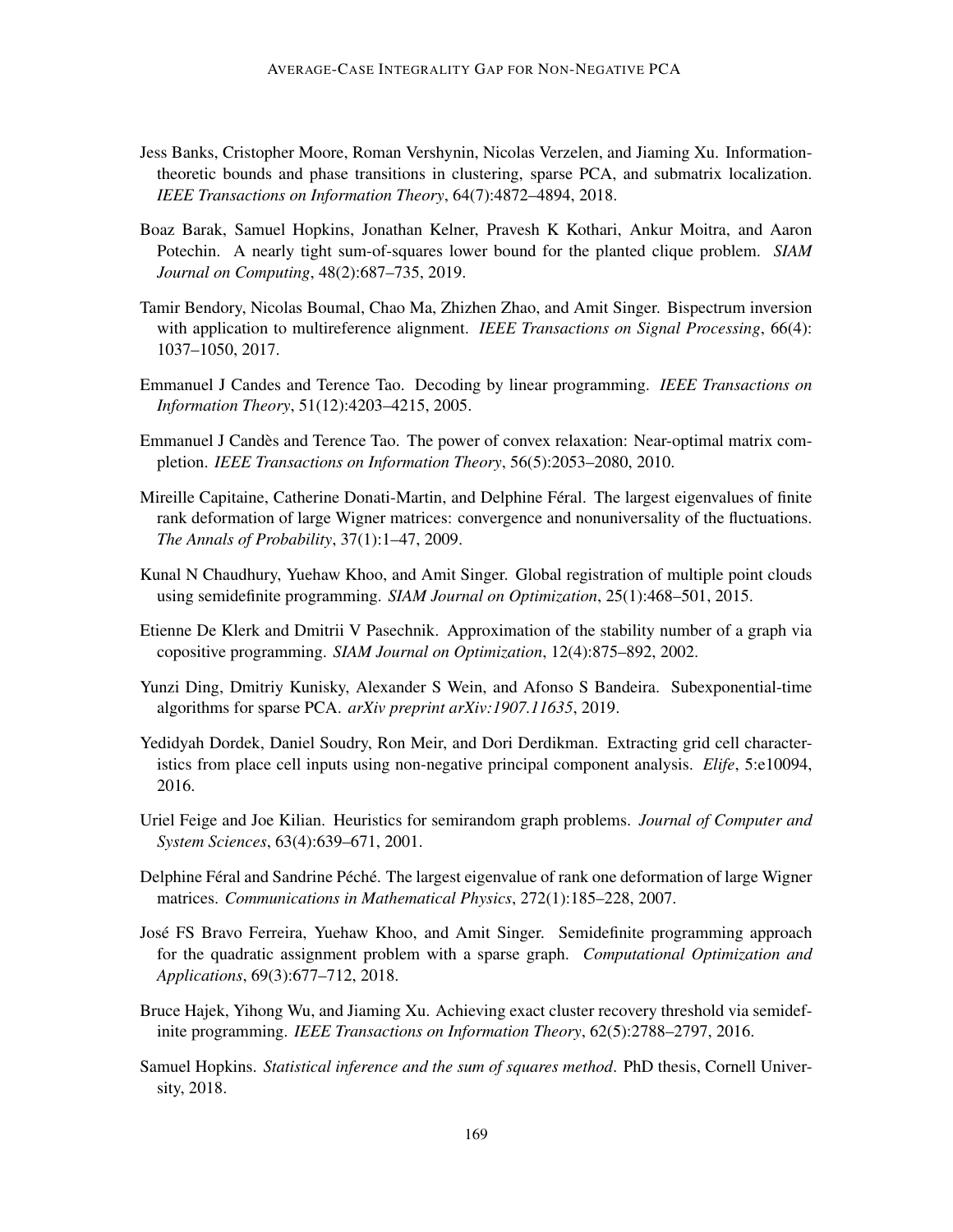- <span id="page-16-9"></span>Jess Banks, Cristopher Moore, Roman Vershynin, Nicolas Verzelen, and Jiaming Xu. Informationtheoretic bounds and phase transitions in clustering, sparse PCA, and submatrix localization. *IEEE Transactions on Information Theory*, 64(7):4872–4894, 2018.
- <span id="page-16-12"></span>Boaz Barak, Samuel Hopkins, Jonathan Kelner, Pravesh K Kothari, Ankur Moitra, and Aaron Potechin. A nearly tight sum-of-squares lower bound for the planted clique problem. *SIAM Journal on Computing*, 48(2):687–735, 2019.
- <span id="page-16-4"></span>Tamir Bendory, Nicolas Boumal, Chao Ma, Zhizhen Zhao, and Amit Singer. Bispectrum inversion with application to multireference alignment. *IEEE Transactions on Signal Processing*, 66(4): 1037–1050, 2017.
- <span id="page-16-0"></span>Emmanuel J Candes and Terence Tao. Decoding by linear programming. *IEEE Transactions on Information Theory*, 51(12):4203–4215, 2005.
- <span id="page-16-1"></span>Emmanuel J Candes and Terence Tao. The power of convex relaxation: Near-optimal matrix com- ` pletion. *IEEE Transactions on Information Theory*, 56(5):2053–2080, 2010.
- <span id="page-16-8"></span>Mireille Capitaine, Catherine Donati-Martin, and Delphine Féral. The largest eigenvalues of finite rank deformation of large Wigner matrices: convergence and nonuniversality of the fluctuations. *The Annals of Probability*, 37(1):1–47, 2009.
- <span id="page-16-3"></span>Kunal N Chaudhury, Yuehaw Khoo, and Amit Singer. Global registration of multiple point clouds using semidefinite programming. *SIAM Journal on Optimization*, 25(1):468–501, 2015.
- <span id="page-16-10"></span>Etienne De Klerk and Dmitrii V Pasechnik. Approximation of the stability number of a graph via copositive programming. *SIAM Journal on Optimization*, 12(4):875–892, 2002.
- <span id="page-16-14"></span>Yunzi Ding, Dmitriy Kunisky, Alexander S Wein, and Afonso S Bandeira. Subexponential-time algorithms for sparse PCA. *arXiv preprint arXiv:1907.11635*, 2019.
- <span id="page-16-6"></span>Yedidyah Dordek, Daniel Soudry, Ron Meir, and Dori Derdikman. Extracting grid cell characteristics from place cell inputs using non-negative principal component analysis. *Elife*, 5:e10094, 2016.
- <span id="page-16-11"></span>Uriel Feige and Joe Kilian. Heuristics for semirandom graph problems. *Journal of Computer and System Sciences*, 63(4):639–671, 2001.
- <span id="page-16-7"></span>Delphine Féral and Sandrine Péché. The largest eigenvalue of rank one deformation of large Wigner matrices. *Communications in Mathematical Physics*, 272(1):185–228, 2007.
- <span id="page-16-5"></span>Jose FS Bravo Ferreira, Yuehaw Khoo, and Amit Singer. Semidefinite programming approach ´ for the quadratic assignment problem with a sparse graph. *Computational Optimization and Applications*, 69(3):677–712, 2018.
- <span id="page-16-2"></span>Bruce Hajek, Yihong Wu, and Jiaming Xu. Achieving exact cluster recovery threshold via semidefinite programming. *IEEE Transactions on Information Theory*, 62(5):2788–2797, 2016.
- <span id="page-16-13"></span>Samuel Hopkins. *Statistical inference and the sum of squares method*. PhD thesis, Cornell University, 2018.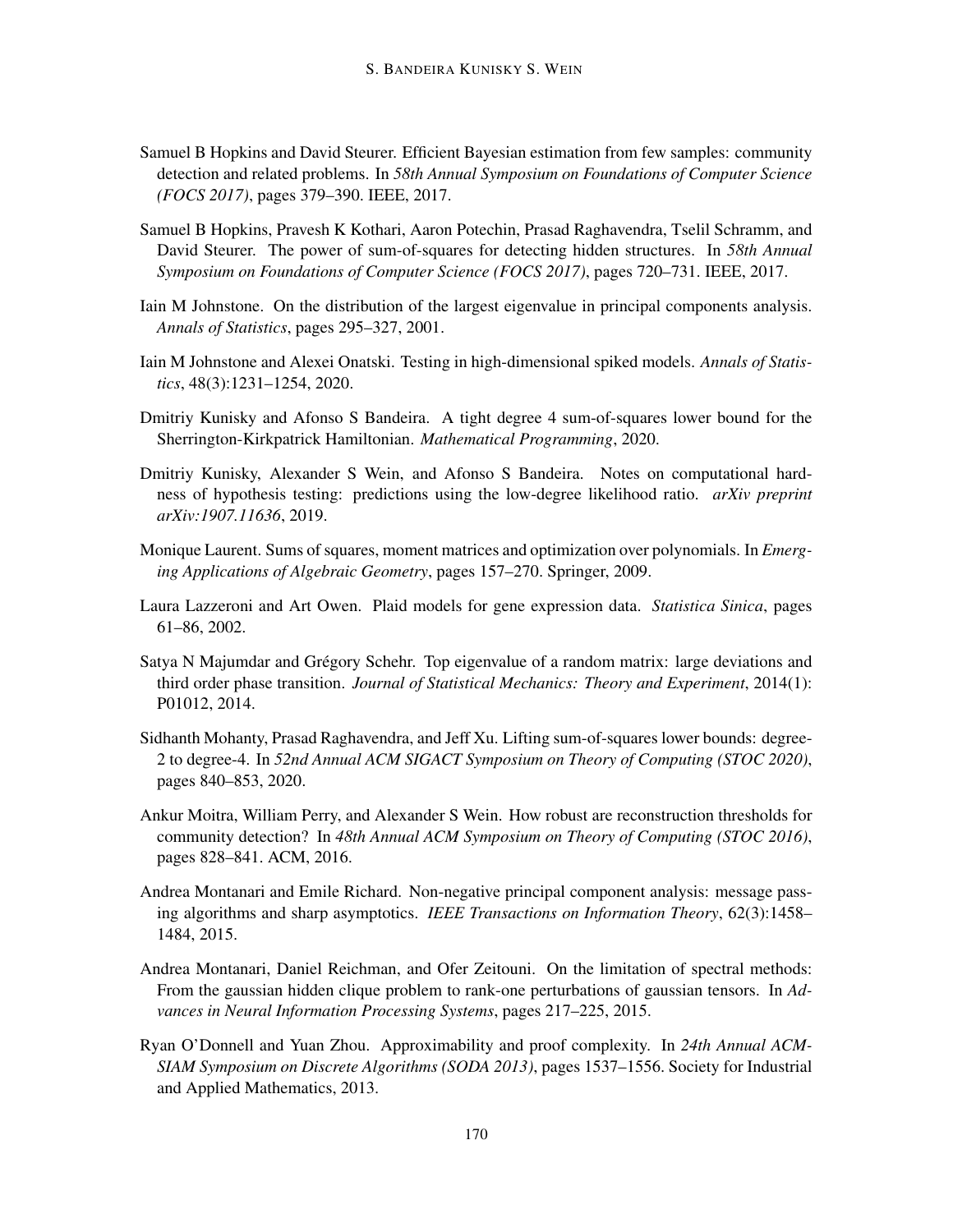- <span id="page-17-10"></span>Samuel B Hopkins and David Steurer. Efficient Bayesian estimation from few samples: community detection and related problems. In *58th Annual Symposium on Foundations of Computer Science (FOCS 2017)*, pages 379–390. IEEE, 2017.
- <span id="page-17-11"></span>Samuel B Hopkins, Pravesh K Kothari, Aaron Potechin, Prasad Raghavendra, Tselil Schramm, and David Steurer. The power of sum-of-squares for detecting hidden structures. In *58th Annual Symposium on Foundations of Computer Science (FOCS 2017)*, pages 720–731. IEEE, 2017.
- <span id="page-17-0"></span>Iain M Johnstone. On the distribution of the largest eigenvalue in principal components analysis. *Annals of Statistics*, pages 295–327, 2001.
- <span id="page-17-4"></span>Iain M Johnstone and Alexei Onatski. Testing in high-dimensional spiked models. *Annals of Statistics*, 48(3):1231–1254, 2020.
- <span id="page-17-6"></span>Dmitriy Kunisky and Afonso S Bandeira. A tight degree 4 sum-of-squares lower bound for the Sherrington-Kirkpatrick Hamiltonian. *Mathematical Programming*, 2020.
- <span id="page-17-12"></span>Dmitriy Kunisky, Alexander S Wein, and Afonso S Bandeira. Notes on computational hardness of hypothesis testing: predictions using the low-degree likelihood ratio. *arXiv preprint arXiv:1907.11636*, 2019.
- <span id="page-17-8"></span>Monique Laurent. Sums of squares, moment matrices and optimization over polynomials. In *Emerging Applications of Algebraic Geometry*, pages 157–270. Springer, 2009.
- <span id="page-17-1"></span>Laura Lazzeroni and Art Owen. Plaid models for gene expression data. *Statistica Sinica*, pages 61–86, 2002.
- <span id="page-17-13"></span>Satya N Majumdar and Grégory Schehr. Top eigenvalue of a random matrix: large deviations and third order phase transition. *Journal of Statistical Mechanics: Theory and Experiment*, 2014(1): P01012, 2014.
- <span id="page-17-7"></span>Sidhanth Mohanty, Prasad Raghavendra, and Jeff Xu. Lifting sum-of-squares lower bounds: degree-2 to degree-4. In *52nd Annual ACM SIGACT Symposium on Theory of Computing (STOC 2020)*, pages 840–853, 2020.
- <span id="page-17-5"></span>Ankur Moitra, William Perry, and Alexander S Wein. How robust are reconstruction thresholds for community detection? In *48th Annual ACM Symposium on Theory of Computing (STOC 2016)*, pages 828–841. ACM, 2016.
- <span id="page-17-2"></span>Andrea Montanari and Emile Richard. Non-negative principal component analysis: message passing algorithms and sharp asymptotics. *IEEE Transactions on Information Theory*, 62(3):1458– 1484, 2015.
- <span id="page-17-3"></span>Andrea Montanari, Daniel Reichman, and Ofer Zeitouni. On the limitation of spectral methods: From the gaussian hidden clique problem to rank-one perturbations of gaussian tensors. In *Advances in Neural Information Processing Systems*, pages 217–225, 2015.
- <span id="page-17-9"></span>Ryan O'Donnell and Yuan Zhou. Approximability and proof complexity. In *24th Annual ACM-SIAM Symposium on Discrete Algorithms (SODA 2013)*, pages 1537–1556. Society for Industrial and Applied Mathematics, 2013.